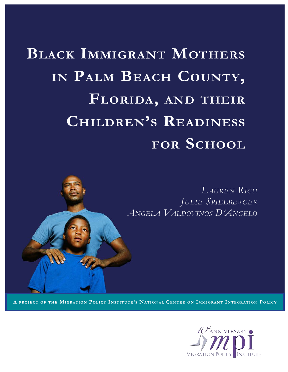**BLACK IMMIGRANT MOTHERS** IN PALM BEACH COUNTY, **floridA, And their children's reAdiness for school**



A PROJECT OF THE MIGRATION POLICY INSTITUTE'S NATIONAL CENTER ON IMMIGRANT INTEGRATION POLICY

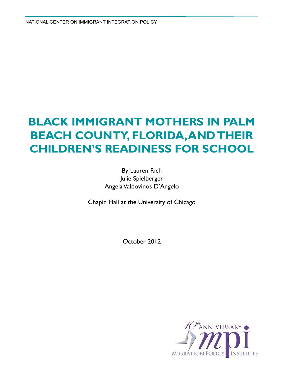National Center on Immigrant integration policy

# **Black Immigrant Mothers in Palm Beach County, Florida, and their Children's Readiness for School**

By Lauren Rich Julie Spielberger Angela Valdovinos D'Angelo

Chapin Hall at the University of Chicago

October 2012

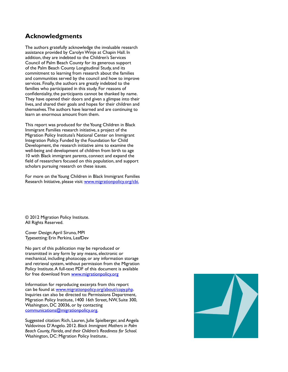#### **Acknowledgments**

The authors gratefully acknowledge the invaluable research assistance provided by Carolyn Winje at Chapin Hall. In addition, they are indebted to the Children's Services Council of Palm Beach County for its generous support of the Palm Beach County Longitudinal Study, and its commitment to learning from research about the families and communities served by the council and how to improve services. Finally, the authors are greatly indebted to the families who participated in this study. For reasons of confidentiality, the participants cannot be thanked by name. They have opened their doors and given a glimpse into their lives, and shared their goals and hopes for their children and themselves. The authors have learned and are continuing to learn an enormous amount from them.

This report was produced for the Young Children in Black Immigrant Families research initiative, a project of the Migration Policy Institute's National Center on Immigrant Integration Policy. Funded by the Foundation for Child Development, the research initiative aims to examine the well-being and development of children from birth to age 10 with Black immigrant parents, connect and expand the field of researchers focused on this population, and support scholars pursuing research on these issues.

For more on the Young Children in Black Immigrant Families Research Initiative, please visit: [www.migrationpolicy.org/cbi.](www.migrationpolicy.org/cbi)

© 2012 Migration Policy Institute. All Rights Reserved.

Cover Design: April Siruno, MPI Typesetting: Erin Perkins, LeafDev

No part of this publication may be reproduced or transmitted in any form by any means, electronic or mechanical, including photocopy, or any information storage and retrieval system, without permission from the Migration Policy Institute. A full-text PDF of this document is available for free download from [www.migrationpolicy.org](http://www.migrationpolicy.org)

Information for reproducing excerpts from this report can be found at [www.migrationpolicy.org/about/copy.php.](http://www.migrationpolicy.org/about/copy.php) Inquiries can also be directed to: Permissions Department, Migration Policy Institute, 1400 16th Street, NW, Suite 300, Washington, DC 20036, or by contacting [communications@migrationpolicy.org.](mailto:communications%40migrationpolicy.org?subject=Black%20Immigrant%20Mothers%20-%20Rich)

Suggested citation: Rich, Lauren, Julie Spielberger, and Angela Valdovinos D'Angelo. 2012. *Black Immigrant Mothers in Palm Beach County, Florida, and their Children's Readiness for School.*  Washington, DC: Migration Policy Institute..

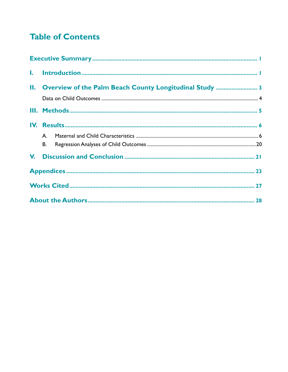# **Table of Contents**

| A. |  |
|----|--|
| В. |  |
|    |  |
|    |  |
|    |  |
|    |  |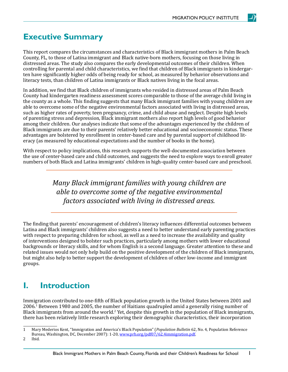## <span id="page-4-0"></span>**Executive Summary**

This report compares the circumstances and characteristics of Black immigrant mothers in Palm Beach County, FL, to those of Latina immigrant and Black native-born mothers, focusing on those living in distressed areas. The study also compares the early developmental outcomes of their children. When controlling for parental and child characteristics, we find that children of Black immigrants in kindergarten have significantly higher odds of being ready for school, as measured by behavior observations and literacy tests, than children of Latina immigrants or Black natives living in the focal areas.

In addition, we find that Black children of immigrants who resided in distressed areas of Palm Beach County had kindergarten readiness assessment scores comparable to those of the average child living in the county as a whole. This finding suggests that many Black immigrant families with young children are able to overcome some of the negative environmental factors associated with living in distressed areas, such as higher rates of poverty, teen pregnancy, crime, and child abuse and neglect. Despite high levels of parenting stress and depression, Black immigrant mothers also report high levels of good behavior among their children. Our analyses indicate that some of the advantages experienced by the children of Black immigrants are due to their parents' relatively better educational and socioeconomic status. These advantages are bolstered by enrollment in center-based care and by parental support of childhood literacy (as measured by educational expectations and the number of books in the home).

With respect to policy implications, this research supports the well-documented association between the use of center-based care and child outcomes, and suggests the need to explore ways to enroll greater numbers of both Black and Latina immigrants' children in high-quality center-based care and preschool.

> *Many Black immigrant families with young children are able to overcome some of the negative environmental factors associated with living in distressed areas.*

The finding that parents' encouragement of children's literacy influences differential outcomes between Latina and Black immigrants' children also suggests a need to better understand early parenting practices with respect to preparing children for school, as well as a need to increase the availability and quality of interventions designed to bolster such practices, particularly among mothers with lower educational backgrounds or literacy skills, and for whom English is a second language. Greater attention to these and related issues would not only help build on the positive development of the children of Black immigrants, but might also help to better support the development of children of other low-income and immigrant groups.

# **I. Introduction**

Immigration contributed to one-fifth of Black population growth in the United States between 2001 and 2006.1 Between 1980 and 2005, the number of Haitians quadrupled amid a generally rising number of Black immigrants from around the world.<sup>2</sup> Yet, despite this growth in the population of Black immigrants, there has been relatively little research exploring their demographic characteristics, their incorporation

1

<sup>1</sup> Mary Mederios Kent, "Immigration and America's Black Population" (*Population Bulletin* 62, No. 4, Population Reference Bureau, Washington, DC, December 2007): 1-20, [www.prb.org/pdf07/62.4immigration.pdf](http://www.prb.org/pdf07/62.4immigration.pdf).

<sup>2</sup> Ibid.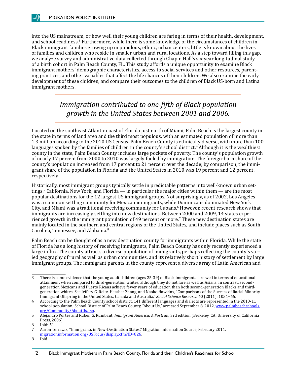into the US mainstream, or how well their young children are faring in terms of their health, development, and school readiness.3 Furthermore, while there is some knowledge of the circumstances of children in Black immigrant families growing up in populous, ethnic, urban centers, little is known about the lives of families and children who reside in smaller urban and rural locations. As a step toward filling this gap, we analyze survey and administrative data collected through Chapin Hall's six-year longitudinal study of a birth cohort in Palm Beach County, FL. This study affords a unique opportunity to examine Black immigrant mothers' demographic characteristics, access to social services and other resources, parenting practices, and other variables that affect the life chances of their children. We also examine the early development of these children, and compare their outcomes to the children of Black US-born and Latina immigrant mothers.

> *Immigration contributed to one-fifth of Black population growth in the United States between 2001 and 2006.*

Located on the southeast Atlantic coast of Florida just north of Miami, Palm Beach is the largest county in the state in terms of land area and the third most populous, with an estimated population of more than 1.3 million according to the 2010 US Census. Palm Beach County is ethnically diverse, with more than 100 languages spoken by the families of children in the county's school district.<sup>4</sup> Although it is the wealthiest county in the state, Palm Beach County includes large pockets of poverty. The county's population growth of nearly 17 percent from 2000 to 2010 was largely fueled by immigration. The foreign-born share of the county's population increased from 17 percent to 21 percent over the decade; by comparison, the immigrant share of the population in Florida and the United States in 2010 was 19 percent and 12 percent, respectively.

Historically, most immigrant groups typically settle in predictable patterns into well-known urban settings.<sup>5</sup> California, New York, and Florida — in particular the major cities within them — are the most popular destinations for the 12 largest US immigrant groups. Not surprisingly, as of 2002, Los Angeles was a common settling community for Mexican immigrants, while Dominicans dominated New York City, and Miami was a traditional receiving community for Cubans.<sup>6</sup> However, recent research shows that immigrants are increasingly settling into new destinations. Between 2000 and 2009, 14 states experienced growth in the immigrant population of 49 percent or more.<sup>7</sup> These new destination states are mainly located in the southern and central regions of the United States, and include places such as South Carolina, Tennessee, and Alabama.<sup>8</sup>

Palm Beach can be thought of as a new destination county for immigrants within Florida. While the state of Florida has a long history of receiving immigrants, Palm Beach County has only recently experienced a large influx. The county attracts a diverse population of immigrants, perhaps reflecting the county's varied geography of rural as well as urban communities, and its relatively short history of settlement by large immigrant groups. The immigrant parents in the county represent a diverse array of Latin American and

<sup>3</sup> There is some evidence that the young adult children (ages 25-39) of Black immigrants fare well in terms of educational attainment when compared to third-generation whites, although they do not fare as well as Asians. In contrast, secondgeneration Mexicans and Puerto Ricans achieve fewer years of education than both second-generation Blacks and thirdgeneration whites. See Jeffery G. Reitz, Heather Zhang, and Naoko Hawkins, "Comparisons of the Success of Racial Minority Immigrant Offspring in the United States, Canada and Australia," *Social Science Research* 40 (2011): 1051−66.

<sup>4</sup> According to the Palm Beach County school district, 141 different languages and dialects are represented in the 2010-11 school population; School District of Palm Beach County, "About Us," accessed September 8, 2012, [www.palmbeachschools.](http://www.palmbeachschools.org/Community/AboutUs.asp) [org/Community/AboutUs.asp](http://www.palmbeachschools.org/Community/AboutUs.asp).

<sup>5</sup> Alejandro Portes and Ruben G. Rumbaut, *Immigrant America: A Portrait,* 3rd edition (Berkeley, CA: University of California Press, 2006).

<sup>6</sup> Ibid: 51.

<sup>7</sup> Aaron Terrazas, "Immigrants in New-Destination States," Migration Information Source, February 2011,

[migrationinformation.org/USFocus/display.cfm?ID=826](http://migrationinformation.org/USFocus/display.cfm%3FID%3D826).

<sup>8</sup> Ibid.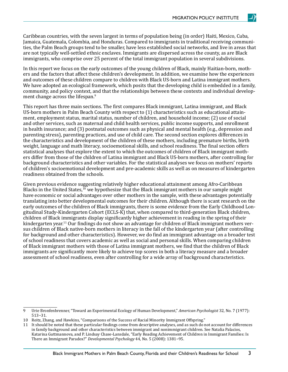<span id="page-6-0"></span>Caribbean countries, with the seven largest in terms of population being (in order) Haiti, Mexico, Cuba, Jamaica, Guatemala, Colombia, and Honduras. Compared to immigrants in traditional receiving communities, the Palm Beach groups tend to be smaller, have less established social networks, and live in areas that are not typically well-settled ethnic enclaves. Immigrants are dispersed across the county, as are Black immigrants, who comprise over 25 percent of the total immigrant population in several subdivisions.

In this report we focus on the early outcomes of the young children of Black, mainly Haitian-born, mothers and the factors that affect these children's development. In addition, we examine how the experiences and outcomes of these children compare to children with Black US-born and Latina immigrant mothers. We have adopted an ecological framework, which posits that the developing child is embedded in a family, community, and policy context, and that the relationships between these contexts and individual development change across the lifespan.<sup>9</sup>

This report has three main sections. The first compares Black immigrant, Latina immigrant, and Black US-born mothers in Palm Beach County with respect to (1) characteristics such as educational attainment, employment status, marital status, number of children, and household income; (2) use of social and other services, such as maternal and child health services, public income supports, and enrollment in health insurance; and (3) postnatal outcomes such as physical and mental health (e.g., depression and parenting stress), parenting practices, and use of child care. The second section explores differences in the characteristics and development of the children of these mothers, including premature births, birth weight, language and math literacy, socioemotional skills, and school readiness. The final section offers statistical analyses that explore the extent to which the outcomes of children of Black immigrant mothers differ from those of the children of Latina immigrant and Black US-born mothers, after controlling for background characteristics and other variables. For the statistical analyses we focus on mothers' reports of children's socioemotional development and pre-academic skills as well as on measures of kindergarten readiness obtained from the schools.

Given previous evidence suggesting relatively higher educational attainment among Afro-Caribbean Blacks in the United States,<sup>10</sup> we hypothesize that the Black immigrant mothers in our sample might have economic or social advantages over other mothers in the sample, with these advantages potentially translating into better developmental outcomes for their children. Although there is scant research on the early outcomes of the children of Black immigrants, there is some evidence from the Early Childhood Longitudinal Study-Kindergarten Cohort (ECLS-K) that, when compared to third-generation Black children, children of Black immigrants display significantly higher achievement in reading in the spring of their kindergarten year.<sup>11</sup> Our findings do not show an advantage for children of Black immigrant mothers versus children of Black native-born mothers in literacy in the fall of the kindergarten year (after controlling for background and other characteristics). However, we do find an immigrant advantage on a broader test of school readiness that covers academic as well as social and personal skills. When comparing children of Black immigrant mothers with those of Latina immigrant mothers, we find that the children of Black immigrants are significantly more likely to achieve top scores in both a literacy measure and a broader assessment of school readiness, even after controlling for a wide array of background characteristics.

<sup>9</sup> Urie Bronfenbrenner, "Toward an Experimental Ecology of Human Development," *American Psychologist* 32, No. 7 (1977): 513−31.

<sup>10</sup> Reitz, Zhang, and Hawkins, "Comparisons of the Success of Racial Minority Immigrant Offspring."

<sup>11</sup> It should be noted that these particular findings come from descriptive analyses, and as such do not account for differences in family background and other characteristics between immigrant and nonimmigrant children. See Natalia Palacios, Katarina Guttmannova, and P. Lindsay Chase-Lansdale, "Early Reading Achievement of Children in Immigrant Families: Is There an Immigrant Paradox?" *Developmental Psychology* 44, No. 5 (2008): 1381−95.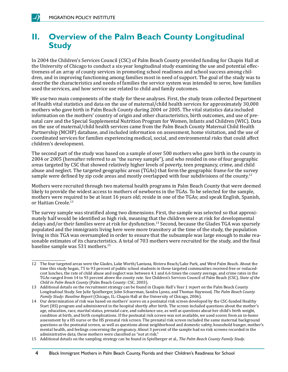## <span id="page-7-0"></span>**II. Overview of the Palm Beach County Longitudinal Study**

In 2004 the Children's Services Council (CSC) of Palm Beach County provided funding for Chapin Hall at the University of Chicago to conduct a six-year longitudinal study examining the use and potential effectiveness of an array of county services in promoting school readiness and school success among children, and in improving functioning among families most in need of support. The goal of the study was to describe the characteristics and needs of families the service system was intended to serve, how families used the services, and how service use related to child and family outcomes.

We use two main components of the study for these analyses. First, the study team collected Department of Health vital statistics and data on the use of maternal/child health services for approximately 30,000 mothers who gave birth in Palm Beach County during 2004 or 2005. The vital statistics data included information on the mothers' country of origin and other characteristics, birth outcomes, and use of prenatal care and the Special Supplemental Nutrition Program for Women, Infants and Children (WIC). Data on the use of maternal/child health services came from the Palm Beach County Maternal Child Health Partnership (MCHP) database, and included information on assessment, home visitation, and the use of coordinated services for families experiencing medical, social, and environmental risks that could affect children's development.

The second part of the study was based on a sample of over 500 mothers who gave birth in the county in 2004 or 2005 (hereafter referred to as "the survey sample"), and who resided in one of four geographic areas targeted by CSC that showed relatively higher levels of poverty, teen pregnancy, crime, and child abuse and neglect. The targeted geographic areas (TGAs) that form the geographic frame for the survey sample were defined by zip code areas and mostly overlapped with four subdivisions of the county.<sup>12</sup>

Mothers were recruited through two maternal health programs in Palm Beach County that were deemed likely to provide the widest access to mothers of newborns in the TGAs. To be selected for the sample, mothers were required to be at least 16 years old; reside in one of the TGAs; and speak English, Spanish, or Haitian Creole.<sup>13</sup>

The survey sample was stratified along two dimensions. First, the sample was selected so that approximately half would be identified as high risk, meaning that the children were at risk for developmental delays and/or their families were at risk for dysfunction.<sup>14</sup> Second, because the Glades TGA was sparsely populated and the immigrants living here were more transitory at the time of the study, the population living in this TGA was oversampled in order to ensure that the subsample was large enough to make reasonable estimates of its characteristics. A total of 703 mothers were recruited for the study, and the final baseline sample was 531 mothers.15

4 Black Immigrant Mothers in Palm Beach County, Florida and their Children's Readiness for School

<sup>12</sup> The four targeted areas were the Glades, Lake Worth/Lantana, Riviera Beach/Lake Park, and West Palm Beach. About the time this study began, 75 to 93 percent of public school students in these targeted communities received free or reducedcost lunches, the rate of child abuse and neglect was between 4.1 and 6.6 times the county average, and crime rates in the TGAs ranged from 14 to 93 percent above the county rate. See Children's Services Council of Palm Beach (CSC), *State of the Child in Palm Beach County* (Palm Beach County: CSC, 2003).

<sup>13</sup> Additional details on the recruitment strategy can be found in Chapin Hall's Year 1 report on the Palm Beach County Longitudinal Study. See Julie Spielberger, John Schuerman, Sandra Lyons, and Thomas Haywood, *The Palm Beach County Family Study: Baseline Report* (Chicago, IL: Chapin Hall at the University of Chicago, 2006).

<sup>14</sup> Our determination of risk was based on mothers' scores on a postnatal risk screen developed by the CSC-funded Healthy Start (HS) program and administered in the hospital shortly after birth. The screen included questions about the mother's age, education, race, marital status, prenatal care, and substance use, as well as questions about her child's birth weight, condition at birth, and birth complications. If the postnatal risk screen was not available, we used scores from an in-home assessment by a HS nurse or the HS prenatal risk screen. The prenatal risk screen included the same maternal background questions as the postnatal screen, as well as questions about neighborhood and domestic safety, household hunger, mother's mental health, and feelings concerning the pregnancy. About 3 percent of the sample had no risk screens recorded in the administrative data; these mothers were classified as "not at risk."

<sup>15</sup> Additional details on the sampling strategy can be found in Spielberger et al., *The Palm Beach County Family Study.*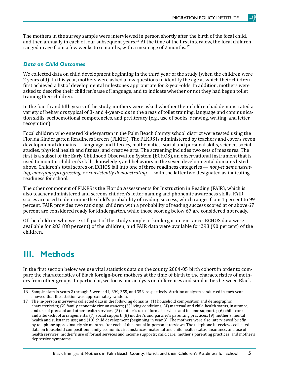<span id="page-8-0"></span>The mothers in the survey sample were interviewed in person shortly after the birth of the focal child, and then annually in each of four subsequent years.<sup>16</sup> At the time of the first interview, the focal children ranged in age from a few weeks to 6 months, with a mean age of 2 months.<sup>17</sup>

#### *Data on Child Outcomes*

We collected data on child development beginning in the third year of the study (when the children were 2 years old). In this year, mothers were asked a few questions to identify the age at which their children first achieved a list of developmental milestones appropriate for 2-year-olds. In addition, mothers were asked to describe their children's use of language, and to indicate whether or not they had begun toilet training their children.

In the fourth and fifth years of the study, mothers were asked whether their children had demonstrated a variety of behaviors typical of 3- and 4-year-olds in the areas of toilet training, language and communication skills, socioemotional competencies, and preliteracy (e.g., use of books, drawing, writing, and letter recognition).

Focal children who entered kindergarten in the Palm Beach County school district were tested using the Florida Kindergarten Readiness Screen (FLKRS). The FLKRS is administered by teachers and covers seven developmental domains — language and literacy, mathematics, social and personal skills, science, social studies, physical health and fitness, and creative arts. The screening includes two sets of measures. The first is a subset of the Early Childhood Observation System (ECHOS), an observational instrument that is used to monitor children's skills, knowledge, and behaviors in the seven developmental domains listed above. Children's total scores on ECHOS fall into one of three readiness categories — *not yet demonstrating, emerging/progressing,* or *consistently demonstrating* — with the latter two designated as indicating readiness for school.

The other component of FLKRS is the Florida Assessments for Instruction in Reading (FAIR), which is also teacher administered and screens children's letter naming and phonemic awareness skills. FAIR scores are used to determine the child's probability of reading success, which ranges from 1 percent to 99 percent. FAIR provides two rankings: children with a probability of reading success scored at or above 67 percent are considered ready for kindergarten, while those scoring below 67 are considered not ready.

Of the children who were still part of the study sample at kindergarten entrance, ECHOS data were available for 283 (88 percent) of the children, and FAIR data were available for 293 (90 percent) of the children.

## **III. Methods**

In the first section below we use vital statistics data on the county 2004-05 birth cohort in order to compare the characteristics of Black foreign-born mothers at the time of birth to the characteristics of mothers from other groups. In particular, we focus our analysis on differences and similarities between Black

<sup>16</sup> Sample sizes in years 2 through 5 were 444, 399, 355, and 353, respectively. Attrition analyses conducted in each year showed that the attrition was approximately random.

<sup>17</sup> The in-person interviews collected data in the following domains: (1) household composition and demographic characteristics; (2) family economic circumstances; (3) living conditions; (4) maternal and child health status, insurance, and use of prenatal and other health services; (5) mother's use of formal services and income supports; (6) child-care and after-school arrangements; (7) social support; (8) mother's and partner's parenting practices; (9) mother's mental health and substance use; and (10) child development (beginning in year 3). The mothers were also interviewed briefly by telephone approximately six months after each of the annual in-person interviews. The telephone interviews collected data on household composition; family economic circumstances; maternal and child health status, insurance, and use of health services; mother's use of formal services and income supports; child care; mother's parenting practices; and mother's depressive symptoms.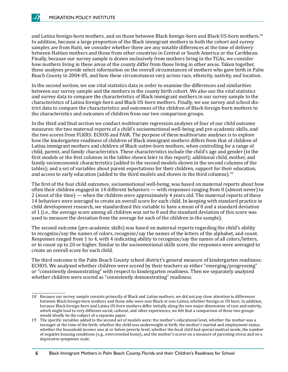<span id="page-9-0"></span>and Latina foreign-born mothers, and on those between Black foreign-born and Black US-born mothers.<sup>18</sup> In addition, because a large proportion of the Black immigrant mothers in both the cohort and survey samples are from Haiti, we consider whether there are any notable differences at the time of delivery between Haitian mothers and those from other countries in Central or South America or the Caribbean. Finally, because our survey sample is drawn exclusively from mothers living in the TGAs, we consider how mothers living in these areas of the county differ from those living in other areas. Taken together, these analyses provide select information on the overall circumstances of mothers who gave birth in Palm Beach County in 2004-05, and how these circumstances vary across race, ethnicity, nativity, and location.

In the second section, we use vital statistics data in order to examine the differences and similarities between our survey sample and the mothers in the county birth cohort. We also use the vital statistics and survey data to compare the characteristics of Black immigrant mothers in our survey sample to the characteristics of Latina foreign-born and Black US-born mothers. Finally, we use survey and school district data to compare the characteristics and outcomes of the children of Black foreign-born mothers to the characteristics and outcomes of children from our two comparison groups.

In the third and final section we conduct multivariate regression analyses of four of our child outcome measures: the two maternal reports of a child's socioemotional well-being and pre-academic skills, and the two scores from FLKRS: ECHOS and FAIR. The purpose of these multivariate analyses is to explore how the kindergarten readiness of children of Black immigrant mothers differs from that of children of Latina immigrant mothers and children of Black native-born mothers, when controlling for a range of child, parent, and family characteristics. These characteristics include the child's age and gender (in the first models or the first columns in the tables shown later in this report); additional child, mother, and family socioeconomic characteristics (added to the second models shown in the second columns of the tables); and a set of variables about parent expectations for their children, support for their education, and access to early education (added to the third models and shown in the third columns).<sup>19</sup>

The first of the four child outcomes, socioemotional well-being, was based on maternal reports about how often their children engaged in 14 different behaviors — with responses ranging from 0 (almost never) to 2 (most of the time) — when the children were approximately 4 years old. The maternal reports of these 14 behaviors were averaged to create an overall score for each child. In keeping with standard practice in child development research, we standardized this variable to have a mean of 0 and a standard deviation of 1 (i.e., the average score among all children was set to 0 and the standard deviation of this score was used to measure the deviation from the average for each of the children in the sample).

The second outcome (pre-academic skills) was based on maternal reports regarding the child's ability to recognize/say the names of colors, recognize/say the names of the letters of the alphabet, and count. Responses ranged from 1 to 4, with 4 indicating ability to recognize/say the names of all colors/letters, or to count up to 20 or higher. Similar to the socioemotional skills score, the responses were averaged to create an overall score for each child.

The third outcome is the Palm Beach County school district's general measure of kindergarten readiness: ECHOS. We analyzed whether children were scored by their teachers as either "emerging/progressing" or "consistently demonstrating" with respect to kindergarten readiness. Then we separately analyzed whether children were scored as "consistently demonstrating" readiness.

6

<sup>18</sup> Because our survey sample consists primarily of Black and Latina mothers, we did not pay close attention to differences between Black foreign-born mothers and those who were non-Black or non-Latina, whether foreign or US born. In addition, because Black foreign-born and Latina US-born mothers differ initially along the two major dimensions of race and nativity, which might lead to very different social, cultural, and other experiences, we felt that a comparison of these two groups would ideally be the subject of a separate paper.

<sup>19</sup> The specific variables added to the second set of models were: the mother's educational level, whether the mother was a teenager at the time of the birth, whether the child was underweight at birth, the mother's marital and employment status, whether the household income was at or below poverty level, whether the focal child had special medical needs, the number of negative housing conditions (e.g., overcrowded home), and the mother's scores on a measure of parenting stress and on a depressive symptoms scale.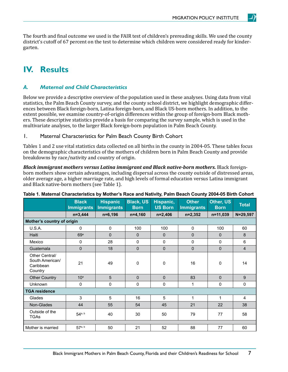The fourth and final outcome we used is the FAIR test of children's prereading skills. We used the county district's cutoff of 67 percent on the test to determine which children were considered ready for kindergarten.

# **IV. Results**

#### *A. Maternal and Child Characteristics*

Below we provide a descriptive overview of the population used in these analyses. Using data from vital statistics, the Palm Beach County survey, and the county school district, we highlight demographic differences between Black foreign-born, Latina foreign-born, and Black US-born mothers. In addition, to the extent possible, we examine country-of-origin differences within the group of foreign-born Black mothers. These descriptive statistics provide a basis for comparing the survey sample, which is used in the multivariate analyses, to the larger Black foreign-born population in Palm Beach County.

#### 1. Maternal Characteristics for Palm Beach County Birth Cohort

Tables 1 and 2 use vital statistics data collected on all births in the county in 2004-05. These tables focus on the demographic characteristics of the mothers of children born in Palm Beach County and provide breakdowns by race/nativity and country of origin.

*Black immigrant mothers versus Latina immigrant and Black native-born mothers. Black foreign*born mothers show certain advantages, including dispersal across the county outside of distressed areas, older average age, a higher marriage rate, and high levels of formal education versus Latina immigrant and Black native-born mothers (see Table 1).

|                                                           | <b>Black</b><br><b>Immigrants</b> | <b>Hispanic</b><br><b>Immigrants</b> | <b>Black, US</b><br><b>Born</b> | Hispanic,<br><b>US Born</b> | <b>Other</b><br><b>Immigrants</b> | Other, US<br><b>Born</b> | <b>Total</b>   |  |
|-----------------------------------------------------------|-----------------------------------|--------------------------------------|---------------------------------|-----------------------------|-----------------------------------|--------------------------|----------------|--|
|                                                           | $n=3,444$                         | $n=6,196$                            | $n=4,160$                       | $n=2,406$                   | $n=2,352$                         | $n=11,039$               | $N = 29,597$   |  |
| Mother's country of origin                                |                                   |                                      |                                 |                             |                                   |                          |                |  |
| <b>U.S.A.</b>                                             | $\mathbf{0}$                      | 0                                    | 100                             | 100                         | $\mathbf 0$                       | 100                      | 60             |  |
| Haiti                                                     | 69a                               | $\Omega$                             | $\Omega$                        | $\Omega$                    | $\mathbf 0$                       | $\Omega$                 | 8              |  |
| Mexico                                                    | $\mathbf 0$                       | 28                                   | 0                               | 0                           | $\mathbf 0$                       | $\Omega$                 | 6              |  |
| Guatemala                                                 | $\mathbf 0$                       | 18                                   | $\mathbf 0$                     | $\Omega$                    | $\mathbf 0$                       | $\Omega$                 | $\overline{4}$ |  |
| Other Central/<br>South American/<br>Caribbean<br>Country | 21                                | 49                                   | 0                               | $\Omega$                    | 16                                | 0                        | 14             |  |
| <b>Other Country</b>                                      | 10 <sup>a</sup>                   | 5                                    | $\Omega$                        | $\Omega$                    | 83                                | $\Omega$                 | 9              |  |
| <b>Unknown</b>                                            | 0                                 | $\mathbf 0$                          | 0                               | 0                           | 1                                 | $\Omega$                 | $\mathbf{0}$   |  |
| <b>TGA residence</b>                                      |                                   |                                      |                                 |                             |                                   |                          |                |  |
| Glades                                                    | 3                                 | 5                                    | 16                              | 5                           | 1                                 | 1                        | $\overline{4}$ |  |
| Non-Glades                                                | 44                                | 55                                   | 54                              | 45                          | 21                                | 22                       | 38             |  |
| Outside of the<br><b>TGAs</b>                             | $54^{a, b}$                       | 40                                   | 30                              | 50                          | 79                                | 77                       | 58             |  |
|                                                           |                                   |                                      |                                 |                             |                                   |                          |                |  |
| Mother is married                                         | $57^{a, b}$                       | 50                                   | 21                              | 52                          | 88                                | 77                       | 60             |  |

#### **Table 1. Maternal Characteristics by Mother's Race and Nativity, Palm Beach County 2004-05 Birth Cohort**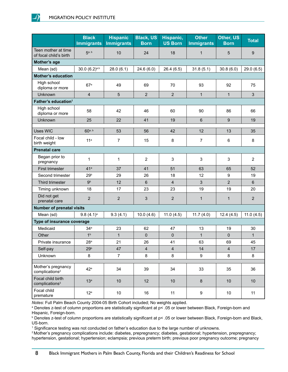|                                                  | <b>Black</b><br><b>Immigrants</b> | <b>Hispanic</b><br><b>Immigrants</b> | <b>Black, US</b><br><b>Born</b> | Hispanic,<br><b>US Born</b> | <b>Other</b><br><b>Immigrants</b> | Other, US<br><b>Born</b> | <b>Total</b>   |
|--------------------------------------------------|-----------------------------------|--------------------------------------|---------------------------------|-----------------------------|-----------------------------------|--------------------------|----------------|
| Teen mother at time<br>of focal child's birth    | 5 <sup>a, b</sup>                 | 10                                   | 24                              | 18                          | $\mathbf{1}$                      | 5                        | $9\,$          |
| Mother's age                                     |                                   |                                      |                                 |                             |                                   |                          |                |
| Mean (sd)                                        | $30.0 (6.2)^{a,b}$                | 28.0(6.1)                            | 24.6(6.0)                       | 26.4(6.5)                   | 31.8(5.1)                         | 30.8(6.0)                | 29.0(6.5)      |
| <b>Mother's education</b>                        |                                   |                                      |                                 |                             |                                   |                          |                |
| High school<br>diploma or more                   | 67 <sup>a</sup>                   | 49                                   | 69                              | 70                          | 93                                | 92                       | 75             |
| Unknown                                          | 4                                 | 5                                    | $\overline{2}$                  | $\overline{2}$              | $\mathbf{1}$                      | $\mathbf{1}$             | $\mathfrak{S}$ |
| Father's education <sup>1</sup>                  |                                   |                                      |                                 |                             |                                   |                          |                |
| High school<br>diploma or more                   | 58                                | 42                                   | 46                              | 60                          | 90                                | 86                       | 66             |
| Unknown                                          | 25                                | 22                                   | 41                              | 19                          | 6                                 | 9                        | 19             |
| <b>Uses WIC</b>                                  | 60a, b                            | 53                                   | 56                              | 42                          | 12                                | 13                       | 35             |
| Focal child - low                                |                                   |                                      |                                 |                             |                                   |                          |                |
| birth weight                                     | 11 <sup>a</sup>                   | 7                                    | 15                              | 8                           | $\overline{7}$                    | 6                        | 8              |
| <b>Prenatal care</b>                             |                                   |                                      |                                 |                             |                                   |                          |                |
| Began prior to<br>pregnancy                      | 1                                 | 1                                    | $\overline{2}$                  | $\mathsf 3$                 | 3                                 | 3                        | $\overline{2}$ |
| First trimester                                  | 41 <sup>a</sup>                   | 37                                   | 41                              | 51                          | 63                                | 65                       | 52             |
| Second trimester                                 | 29 <sup>b</sup>                   | 29                                   | 26                              | 18                          | 12                                | 9                        | 19             |
| Third trimester                                  | 9 <sup>b</sup>                    | 12                                   | 6                               | $\overline{4}$              | 3                                 | $\overline{2}$           | $6\phantom{1}$ |
| Timing unknown                                   | 18                                | 17                                   | 23                              | 23                          | 19                                | 19                       | 20             |
| Did not get<br>prenatal care                     | $\overline{2}$                    | $\overline{2}$                       | 3                               | $\overline{2}$              | $\mathbf{1}$                      | $\mathbf{1}$             | $\overline{2}$ |
| <b>Number of prenatal visits</b>                 |                                   |                                      |                                 |                             |                                   |                          |                |
| Mean (sd)                                        | $9.8(4.1)^a$                      | 9.3(4.1)                             | 10.0(4.6)                       | 11.0(4.5)                   | 11.7(4.0)                         | 12.4(4.5)                | 11.0(4.5)      |
| Type of insurance coverage                       |                                   |                                      |                                 |                             |                                   |                          |                |
| Medicaid                                         | 34 <sup>a</sup>                   | 23                                   | 62                              | 47                          | 13                                | 19                       | 30             |
| Other                                            | 1 <sup>b</sup>                    | $\mathbf{1}$                         | $\pmb{0}$                       | $\pmb{0}$                   | $\mathbf{1}$                      | 0                        | $\mathbf{1}$   |
| Private insurance                                | 28 <sup>a</sup>                   | 21                                   | 26                              | 41                          | 63                                | 69                       | 45             |
| Self-pay                                         | 29 <sup>b</sup>                   | 47                                   | $\overline{\mathbf{4}}$         | $\overline{\mathbf{4}}$     | 14                                | $\overline{\mathbf{4}}$  | 17             |
| Unknown                                          | 8                                 | $\overline{7}$                       | 8                               | 8                           | 9                                 | 8                        | 8              |
| Mother's pregnancy<br>complications <sup>2</sup> | $42^a$                            | 34                                   | 39                              | 34                          | 33                                | 35                       | 36             |
| Focal child birth<br>complications <sup>3</sup>  | 13 <sup>a</sup>                   | 10                                   | 12                              | $10$                        | 8                                 | 10                       | 10             |
| Focal child<br>premature                         | 12 <sup>a</sup>                   | 10                                   | 16                              | 11                          | 9                                 | 10                       | 11             |

*Notes*: Full Palm Beach County 2004-05 Birth Cohort included; No weights applied.

a Denotes z-test of column proportions are statistically significant at p< .05 or lower between Black, Foreign-born and Hispanic, Foreign-born.

<sup>b</sup> Denotes z-test of column proportions are statistically significant at p< .05 or lower between Black, Foreign-born and Black, US-born.

1 Significance testing was not conducted on father's education due to the large number of unknowns.

<sup>2</sup> Mother's pregnancy complications include: diabetes, prepregnancy; diabetes, gestational; hypertension, prepregnancy; hypertension, gestational; hypertension; eclampsia; previous preterm birth; previous poor pregnancy outcome; pregnancy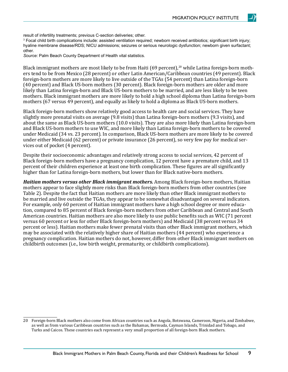result of infertility treatments; previous C-section deliveries; other.

3 Focal child birth complications include: assisted ventilation required; newborn received antibiotics; significant birth injury; hyaline membrane disease/RDS; NICU admissions; seizures or serious neurologic dysfunction; newborn given surfactant; other.

*Source:* Palm Beach County Department of Health vital statistics.

Black immigrant mothers are most likely to be from Haiti (69 percent),<sup>20</sup> while Latina foreign-born mothers tend to be from Mexico (28 percent) or other Latin American/Caribbean countries (49 percent). Black foreign-born mothers are more likely to live outside of the TGAs (54 percent) than Latina foreign-born (40 percent) and Black US-born mothers (30 percent). Black foreign-born mothers are older and more likely than Latina foreign-born and Black US-born mothers to be married, and are less likely to be teen mothers. Black immigrant mothers are more likely to hold a high school diploma than Latina foreign-born mothers (67 versus 49 percent), and equally as likely to hold a diploma as Black US-born mothers.

Black foreign-born mothers show relatively good access to health care and social services. They have slightly more prenatal visits on average (9.8 visits) than Latina foreign-born mothers (9.3 visits), and about the same as Black US-born mothers (10.0 visits). They are also more likely than Latina foreign-born and Black US-born mothers to use WIC, and more likely than Latina foreign-born mothers to be covered under Medicaid (34 vs. 23 percent). In comparison, Black US-born mothers are more likely to be covered under either Medicaid (62 percent) or private insurance (26 percent), so very few pay for medical services out of pocket (4 percent).

Despite their socioeconomic advantages and relatively strong access to social services, 42 percent of Black foreign-born mothers have a pregnancy complication, 12 percent have a premature child, and 13 percent of their children experience at least one birth complication. These figures are all significantly higher than for Latina foreign-born mothers, but lower than for Black native-born mothers.

*Haitian mothers versus other Black immigrant mothers.* Among Black foreign-born mothers, Haitian mothers appear to face slightly more risks than Black foreign-born mothers from other countries (see Table 2). Despite the fact that Haitian mothers are more likely than other Black immigrant mothers to be married and live outside the TGAs, they appear to be somewhat disadvantaged on several indicators. For example, only 60 percent of Haitian immigrant mothers have a high school degree or more education, compared to 85 percent of Black foreign-born mothers from other Caribbean and Central and South American countries. Haitian mothers are also more likely to use public benefits such as WIC (71 percent versus 60 percent or less for other Black foreign-born mothers) and Medicaid (38 percent versus 34 percent or less). Haitian mothers make fewer prenatal visits than other Black immigrant mothers, which may be associated with the relatively higher share of Haitian mothers (44 percent) who experience a pregnancy complication. Haitian mothers do not, however, differ from other Black immigrant mothers on childbirth outcomes (i.e., low birth weight, prematurity, or childbirth complications).

<sup>20</sup> Foreign-born Black mothers also come from African countries such as Angola, Botswana, Cameroon, Nigeria, and Zimbabwe, as well as from various Caribbean countries such as the Bahamas, Bermuda, Cayman Islands, Trinidad and Tobago, and Turks and Caicos. These countries each represent a very small proportion of all foreign-born Black mothers.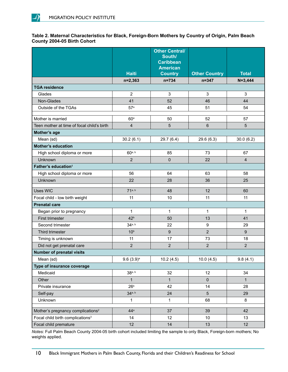#### **Table 2. Maternal Characteristics for Black, Foreign-Born Mothers by Country of Origin, Palm Beach County 2004-05 Birth Cohort**

|                                               |                         | <b>Other Central/</b><br>South/<br><b>Caribbean</b><br><b>American</b> |                      |                |
|-----------------------------------------------|-------------------------|------------------------------------------------------------------------|----------------------|----------------|
|                                               | <b>Haiti</b>            | <b>Country</b>                                                         | <b>Other Country</b> | <b>Total</b>   |
|                                               | $n=2,363$               | $n = 734$                                                              | $n = 347$            | $N = 3,444$    |
| <b>TGA residence</b>                          |                         |                                                                        |                      |                |
| Glades                                        | $\overline{2}$          | 3                                                                      | 3                    | 3              |
| Non-Glades                                    | 41                      | 52                                                                     | 46                   | 44             |
| Outside of the TGAs                           | 57 <sup>a</sup>         | 45                                                                     | 51                   | 54             |
| Mother is married                             | 60 <sup>a</sup>         | 50                                                                     | 52                   | 57             |
| Teen mother at time of focal child's birth    | $\overline{4}$          | 5                                                                      | $6\phantom{1}$       | 5              |
| Mother's age                                  |                         |                                                                        |                      |                |
| Mean (sd)                                     | 30.2(6.1)               | 29.7(6.4)                                                              | 29.6(6.3)            | 30.0(6.2)      |
| <b>Mother's education</b>                     |                         |                                                                        |                      |                |
| High school diploma or more                   | 60a, b                  | 85                                                                     | 73                   | 67             |
| Unknown                                       | $\overline{2}$          | 0                                                                      | 22                   | $\overline{4}$ |
| Father's education <sup>1</sup>               |                         |                                                                        |                      |                |
| High school diploma or more                   | 56                      | 64                                                                     | 63                   | 58             |
| Unknown                                       | 22                      | 28                                                                     | 36                   | 25             |
| <b>Uses WIC</b>                               | $71^{a, b}$             | 48                                                                     | 12                   | 60             |
| Focal child - low birth weight                | 11                      | 10                                                                     | 11                   | 11             |
| <b>Prenatal care</b>                          |                         |                                                                        |                      |                |
| Began prior to pregnancy                      | 1                       | 1                                                                      | 1                    | $\mathbf{1}$   |
| First trimester                               | 42 <sup>b</sup>         | 50                                                                     | 13                   | 41             |
| Second trimester                              | $34^{a, b}$             | 22                                                                     | $\boldsymbol{9}$     | 29             |
| Third trimester                               | 10 <sup>b</sup>         | 9                                                                      | $\overline{2}$       | 9              |
| Timing is unknown                             | 11                      | 17                                                                     | 73                   | 18             |
| Did not get prenatal care                     | $\overline{2}$          | $\overline{2}$                                                         | $\overline{2}$       | $\overline{2}$ |
| <b>Number of prenatal visits</b>              |                         |                                                                        |                      |                |
| Mean (sd)                                     | $9.6(3.9)$ <sup>a</sup> | 10.2(4.5)                                                              | 10.0(4.5)            | 9.8(4.1)       |
| Type of insurance coverage                    |                         |                                                                        |                      |                |
| Medicaid                                      | 38 <sup>a, b</sup>      | 32                                                                     | 12                   | 34             |
| Other                                         | $\mathbf{1}$            | $\mathbf{1}$                                                           | $\pmb{0}$            | $\mathbf{1}$   |
| Private insurance                             | 26 <sup>b</sup>         | 42                                                                     | 14                   | 28             |
| Self-pay                                      | $34^{a, b}$             | 24                                                                     | $\overline{5}$       | 29             |
| Unknown                                       | 1                       | 1                                                                      | 68                   | 8              |
| Mother's pregnancy complications <sup>2</sup> | 44 <sup>a</sup>         | 37                                                                     | 39                   | 42             |
| Focal child birth complications <sup>3</sup>  | 14                      | 12                                                                     | 10                   | 13             |
| Focal child premature                         | 12                      | 14                                                                     | 13                   | 12             |

*Notes:* Full Palm Beach County 2004-05 birth cohort included limiting the sample to only Black, Foreign-born mothers; No weights applied.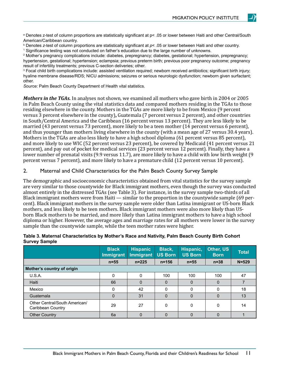a Denotes z-test of column proportions are statistically significant at p< .05 or lower between Haiti and other Central/South American/Caribbean country.

b Denotes *z*-test of column proportions are statistically significant at *p*< .05 or lower between Haiti and other country.

1 Significance testing was not conducted on father's education due to the large number of unknowns.

2 Mother's pregnancy complications include: diabetes, prepregnancy; diabetes, gestational; hypertension, prepregnancy; hypertension, gestational; hypertension; eclampsia; previous preterm birth; previous poor pregnancy outcome; pregnancy result of infertility treatments; previous C-section deliveries; other.

3 Focal child birth complications include: assisted ventilation required; newborn received antibiotics; significant birth injury; hyaline membrane disease/RDS; NICU admissions; seizures or serious neurologic dysfunction; newborn given surfactant; other.

*Source:* Palm Beach County Department of Health vital statistics.

*Mothers in the TGAs.* In analyses not shown, we examined all mothers who gave birth in 2004 or 2005 in Palm Beach County using the vital statistics data and compared mothers residing in the TGAs to those residing elsewhere in the county. Mothers in the TGAs are more likely to be from Mexico (9 percent versus 3 percent elsewhere in the county)**,** Guatemala (7 percent versus 2 percent), and other countries in South/Central America and the Caribbean (16 percent versus 13 percent). They are less likely to be married (43 percent versus 73 percent), more likely to be a teen mother (14 percent versus 6 percent), and thus younger than mothers living elsewhere in the county (with a mean age of 27 versus 30.4 years). Mothers in the TGAs are also less likely to have a high school diploma (61 percent versus 85 percent), and more likely to use WIC (52 percent versus 23 percent), be covered by Medicaid (41 percent versus 21 percent), and pay out of pocket for medical services (23 percent versus 12 percent). Finally, they have a lower number of prenatal visits (9.9 versus 11.7), are more likely to have a child with low birth weight (9 percent versus 7 percent), and more likely to have a premature child (12 percent versus 10 percent).

#### 2. Maternal and Child Characteristics for the Palm Beach County Survey Sample

The demographic and socioeconomic characteristics obtained from vital statistics for the survey sample are very similar to those countywide for Black immigrant mothers, even though the survey was conducted almost entirely in the distressed TGAs (see Table 3). For instance, in the survey sample two-thirds of all Black immigrant mothers were from Haiti — similar to the proportion in the countywide sample (69 percent). Black immigrant mothers in the survey sample were older than Latina immigrant or US-born Black mothers, and less likely to be teen mothers. Black immigrant mothers were also more likely than USborn Black mothers to be married, and more likely than Latina immigrant mothers to have a high school diploma or higher. However, the average ages and marriage rates for all mothers were lower in the survey sample than the countywide sample, while the teen mother rates were higher.

|                                                    | <b>Black</b>     | <b>Hispanic</b>  | Black,         | Hispanic,      | Other, US   | <b>Total</b> |
|----------------------------------------------------|------------------|------------------|----------------|----------------|-------------|--------------|
|                                                    | <b>Immigrant</b> | <b>Immigrant</b> | <b>US Born</b> | <b>US Born</b> | <b>Born</b> |              |
|                                                    | $n = 55$         | $n = 225$        | $n = 156$      | $n = 55$       | $n = 38$    | $N = 529$    |
| Mother's country of origin                         |                  |                  |                |                |             |              |
| U.S.A.                                             | $\Omega$         | $\Omega$         | 100            | 100            | 100         | 47           |
| Haiti                                              | 66               | $\Omega$         | $\Omega$       | 0              | $\Omega$    |              |
| Mexico                                             | $\Omega$         | 42               | $\Omega$       | $\Omega$       | $\Omega$    | 18           |
| Guatemala                                          | $\Omega$         | 31               | $\Omega$       | 0              | $\Omega$    | 13           |
| Other Central/South American/<br>Caribbean Country | 29               | 27               | 0              | 0              | 0           | 14           |
| <b>Other Country</b>                               | 6a               | $\Omega$         | 0              | 0              | 0           |              |

#### **Table 3. Maternal Characteristics by Mother's Race and Nativity, Palm Beach County Birth Cohort Survey Sample**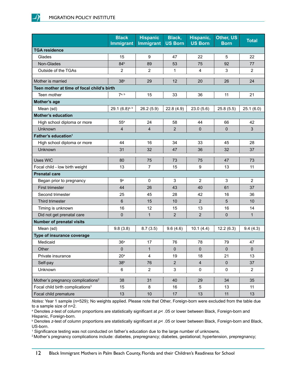|                                               | <b>Black</b><br><b>Immigrant</b> | <b>Hispanic</b><br><b>Immigrant</b> | Black,<br><b>US Born</b> | Hispanic,<br><b>US Born</b> | Other, US<br><b>Born</b> | <b>Total</b>   |
|-----------------------------------------------|----------------------------------|-------------------------------------|--------------------------|-----------------------------|--------------------------|----------------|
| <b>TGA residence</b>                          |                                  |                                     |                          |                             |                          |                |
| Glades                                        | 15                               | 9                                   | 47                       | 22                          | 5                        | 22             |
| Non-Glades                                    | 84 <sup>b</sup>                  | 89                                  | 53                       | 75                          | 92                       | 77             |
| Outside of the TGAs                           | 2                                | 2                                   | 1                        | 4                           | $\mathsf 3$              | $\overline{2}$ |
| Mother is married                             | 38 <sup>b</sup>                  | 29                                  | 12                       | 20                          | 26                       | 24             |
| Teen mother at time of focal child's birth    |                                  |                                     |                          |                             |                          |                |
| Teen mother                                   | 7 <sup>a, b</sup>                | 15                                  | 33                       | 36                          | 11                       | 21             |
| Mother's age                                  |                                  |                                     |                          |                             |                          |                |
| Mean (sd)                                     | 29.1 (6.8)a, b                   | 26.2(5.9)                           | 22.8(4.9)                | 23.0(5.6)                   | 25.8(5.5)                | 25.1(6.0)      |
| <b>Mother's education</b>                     |                                  |                                     |                          |                             |                          |                |
| High school diploma or more                   | $55^a$                           | 24                                  | 58                       | 44                          | 66                       | 42             |
| Unknown                                       | 4                                | 4                                   | $\overline{2}$           | 0                           | $\pmb{0}$                | $\mathfrak{S}$ |
| Father's education <sup>1</sup>               |                                  |                                     |                          |                             |                          |                |
| High school diploma or more                   | 44                               | 16                                  | 34                       | 33                          | 45                       | 28             |
| Unknown                                       | 31                               | 32                                  | 47                       | 36                          | 32                       | 37             |
| <b>Uses WIC</b>                               | 80                               | 75                                  | 73                       | 75                          | 47                       | 73             |
| Focal child - low birth weight                | 13                               | $\overline{7}$                      | 15                       | 9                           | 13                       | 11             |
| <b>Prenatal care</b>                          |                                  |                                     |                          |                             |                          |                |
| Began prior to pregnancy                      | g <sub>a</sub>                   | $\mathbf 0$                         | 3                        | 2                           | 3                        | 2              |
| First trimester                               | 44                               | 26                                  | 43                       | 40                          | 61                       | 37             |
| Second trimester                              | 25                               | 45                                  | 28                       | 42                          | 16                       | 36             |
| Third trimester                               | 6                                | 15                                  | 10                       | $\overline{2}$              | 5                        | 10             |
| Timing is unknown                             | 16                               | 12                                  | 15                       | 13                          | 16                       | 14             |
| Did not get prenatal care                     | 0                                | $\mathbf{1}$                        | 2                        | $\overline{2}$              | $\pmb{0}$                | $\mathbf{1}$   |
| <b>Number of prenatal visits</b>              |                                  |                                     |                          |                             |                          |                |
| Mean (sd)                                     | 9.8(3.8)                         | 8.7(3.5)                            | 9.6(4.6)                 | 10.1(4.4)                   | 12.2(6.3)                | 9.4(4.3)       |
| Type of insurance coverage                    |                                  |                                     |                          |                             |                          |                |
| Medicaid                                      | 36 <sup>a</sup>                  | 17                                  | 76                       | 78                          | 79                       | 47             |
| Other                                         | 0                                | $\mathbf{1}$                        | $\mathbf 0$              | 0                           | $\pmb{0}$                | $\pmb{0}$      |
| Private insurance                             | 20 <sup>a</sup>                  | $\overline{\mathbf{4}}$             | 19                       | 18                          | 21                       | 13             |
| Self-pay                                      | 38 <sup>b</sup>                  | 76                                  | $\sqrt{2}$               | $\overline{4}$              | $\pmb{0}$                | 37             |
| Unknown                                       | 6                                | $\overline{2}$                      | $\mathbf{3}$             | $\pmb{0}$                   | $\pmb{0}$                | $\overline{2}$ |
| Mother's pregnancy complications <sup>2</sup> | 38                               | 31                                  | 40                       | 29                          | 34                       | 35             |
| Focal child birth complications <sup>3</sup>  | 15                               | 8                                   | 16                       | 5                           | 13                       | 11             |
| Focal child premature                         | 13                               | 10                                  | 17                       | 13                          | 11                       | 13             |

*Notes:* Year 1 sample (n=529); No weights applied. Please note that Other, Foreign-born were excluded from the table due to a sample size of n=2.

a Denotes *z*-test of column proportions are statistically significant at *p*< .05 or lower between Black, Foreign-born and Hispanic, Foreign-born.

b Denotes *z*-test of column proportions are statistically significant at *p*< .05 or lower between Black, Foreign-born and Black, US-born.

1 Significance testing was not conducted on father's education due to the large number of unknowns.

2 Mother's pregnancy complications include: diabetes, prepregnancy; diabetes, gestational; hypertension, prepregnancy;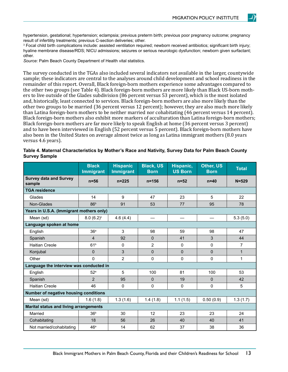hypertension, gestational; hypertension; eclampsia; previous preterm birth; previous poor pregnancy outcome; pregnancy result of infertility treatments; previous C-section deliveries; other.

3 Focal child birth complications include: assisted ventilation required; newborn received antibiotics; significant birth injury; hyaline membrane disease/RDS; NICU admissions; seizures or serious neurologic dysfunction; newborn given surfactant; other.

*Source:* Palm Beach County Department of Health vital statistics.

The survey conducted in the TGAs also included several indicators not available in the larger, countywide sample; these indicators are central to the analyses around child development and school readiness in the remainder of this report. Overall, Black foreign-born mothers experience some advantages compared to the other two groups (see Table 4). Black foreign-born mothers are more likely than Black US-born mothers to live outside of the Glades subdivision (86 percent versus 53 percent), which is the most isolated and, historically, least connected to services. Black foreign-born mothers are also more likely than the other two groups to be married (36 percent versus 12 percent); however, they are also much more likely than Latina foreign-born mothers to be neither married nor cohabitating (46 percent versus 14 percent). Black foreign-born mothers also exhibit more markers of acculturation than Latina foreign-born mothers; Black foreign-born mothers are far more likely to speak English at home (36 percent versus 3 percent) and to have been interviewed in English (52 percent versus 5 percent). Black foreign-born mothers have also been in the United States on average almost twice as long as Latina immigrant mothers (8.0 years versus 4.6 years).

| <b>Survey Sample</b>                          |                                  |                                     |                                 |                             |                          |              |  |  |  |
|-----------------------------------------------|----------------------------------|-------------------------------------|---------------------------------|-----------------------------|--------------------------|--------------|--|--|--|
|                                               | <b>Black</b><br><b>Immigrant</b> | <b>Hispanic</b><br><b>Immigrant</b> | <b>Black, US</b><br><b>Born</b> | Hispanic,<br><b>US Born</b> | Other, US<br><b>Born</b> | <b>Total</b> |  |  |  |
| <b>Survey data and Survey</b><br>sample       | $n=56$                           | $n = 225$                           | $n = 156$                       | $n=52$                      | $n=40$                   | $N = 529$    |  |  |  |
| <b>TGA residence</b>                          |                                  |                                     |                                 |                             |                          |              |  |  |  |
| Glades                                        | 14                               | 9                                   | 47                              | 23                          | 5                        | 22           |  |  |  |
| Non-Glades                                    | 86 <sup>b</sup>                  | 91                                  | 53                              | 77                          | 95                       | 78           |  |  |  |
| Years in U.S.A. (Immigrant mothers only)      |                                  |                                     |                                 |                             |                          |              |  |  |  |
| Mean (sd)                                     | $8.0 (6.2)^c$                    | 4.6(4.4)                            |                                 |                             |                          | 5.3(5.0)     |  |  |  |
| Language spoken at home                       |                                  |                                     |                                 |                             |                          |              |  |  |  |
| English                                       | 36 <sup>a</sup>                  | 3                                   | 98                              | 59                          | 98                       | 47           |  |  |  |
| Spanish                                       | $\overline{\mathbf{4}}$          | 92                                  | $\mathbf{0}$                    | 41                          | 3                        | 44           |  |  |  |
| <b>Haitian Creole</b>                         | 61 <sup>b</sup>                  | 0                                   | $\overline{2}$                  | $\mathbf 0$                 | $\pmb{0}$                | 7            |  |  |  |
| Konjubal                                      | $\mathbf 0$                      | 3                                   | $\overline{0}$                  | $\overline{0}$              | $\overline{0}$           | $\mathbf{1}$ |  |  |  |
| Other                                         | 0                                | $\overline{2}$                      | 0                               | 0                           | 0                        | $\mathbf{1}$ |  |  |  |
| Language the interview was conducted in       |                                  |                                     |                                 |                             |                          |              |  |  |  |
| English                                       | 52 <sup>a</sup>                  | 5                                   | 100                             | 81                          | 100                      | 53           |  |  |  |
| Spanish                                       | $\overline{2}$                   | 95                                  | $\Omega$                        | 19                          | $\Omega$                 | 42           |  |  |  |
| <b>Haitian Creole</b>                         | 46                               | 0                                   | 0                               | $\Omega$                    | 0                        | 5            |  |  |  |
| Number of negative housing conditions         |                                  |                                     |                                 |                             |                          |              |  |  |  |
| Mean (sd)                                     | 1.6(1.8)                         | 1.3(1.6)                            | 1.4(1.8)                        | 1.1(1.5)                    | 0.50(0.9)                | 1.3(1.7)     |  |  |  |
| <b>Marital status and living arrangements</b> |                                  |                                     |                                 |                             |                          |              |  |  |  |
| Married                                       | 36 <sup>b</sup>                  | 30                                  | 12                              | 23                          | 23                       | 24           |  |  |  |
| Cohabitating                                  | 18                               | 56                                  | 26                              | 40                          | 40                       | 41           |  |  |  |
| Not married/cohabitating                      | 46 <sup>a</sup>                  | 14                                  | 62                              | 37                          | 38                       | 36           |  |  |  |

|                      | Table 4. Maternal Characteristics by Mother's Race and Nativity, Survey Data for Palm Beach County |  |  |
|----------------------|----------------------------------------------------------------------------------------------------|--|--|
| <b>Survey Sample</b> |                                                                                                    |  |  |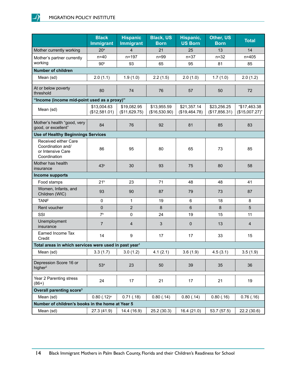J)

|                                                                                | <b>Black</b><br><b>Immigrant</b> | <b>Hispanic</b><br>Immigrant | <b>Black, US</b><br><b>Born</b> | Hispanic,<br><b>US Born</b>  | Other, US<br><b>Born</b>     | <b>Total</b>                   |
|--------------------------------------------------------------------------------|----------------------------------|------------------------------|---------------------------------|------------------------------|------------------------------|--------------------------------|
| Mother currently working                                                       | 20 <sup>a</sup>                  | $\overline{4}$               | 21                              | 25                           | 13                           | 14                             |
| Mother's partner currently                                                     | $n=40$                           | $n = 197$                    | $n = 99$                        | $n = 37$                     | $n = 32$                     | $n = 405$                      |
| working                                                                        | 90 <sup>b</sup>                  | 93                           | 65                              | 95                           | 81                           | 85                             |
| <b>Number of children</b>                                                      |                                  |                              |                                 |                              |                              |                                |
| Mean (sd)                                                                      | 2.0(1.1)                         | 1.9(1.0)                     | 2.2(1.5)                        | 2.0(1.0)                     | 1.7(1.0)                     | 2.0(1.2)                       |
| At or below poverty<br>threshold                                               | 80                               | 74                           | 76                              | 57                           | 50                           | 72                             |
| "Income (income mid-point used as a proxy)"                                    |                                  |                              |                                 |                              |                              |                                |
| Mean (sd)                                                                      | \$13,004.63<br>(\$12,581.01)     | \$19,082.95<br>(\$11,629.75) | \$13,955.59<br>(\$16,530.90)    | \$21,357.14<br>(\$19,464.78) | \$23,256.25<br>(\$17,856.31) | "\$17,463.38<br>(\$15,007.27)" |
| Mother's health "good, very<br>good, or excellent"                             | 84                               | 76                           | 92                              | 81                           | 85                           | 83                             |
| <b>Use of Healthy Beginnings Services</b>                                      |                                  |                              |                                 |                              |                              |                                |
| Received either Care<br>Coordination and/<br>or Intensive Care<br>Coordination | 86                               | 95                           | 80                              | 65                           | 73                           | 85                             |
| Mother has health<br>insurance                                                 | 43 <sup>b</sup>                  | 30                           | 93                              | 75                           | 80                           | 58                             |
| Income supports                                                                |                                  |                              |                                 |                              |                              |                                |
| Food stamps                                                                    | 21 <sup>b</sup>                  | 23                           | 71                              | 48                           | 48                           | 41                             |
| Women, Infants, and<br>Children (WIC)                                          | 93                               | 90                           | 87                              | 79                           | 73                           | 87                             |
| <b>TANF</b>                                                                    | 0                                | 1                            | 19                              | 6                            | 18                           | 8                              |
| Rent voucher                                                                   | $\Omega$                         | $\overline{2}$               | 8                               | $6\phantom{1}$               | 8                            | 5                              |
| SSI                                                                            | 7 <sup>b</sup>                   | 0                            | 24                              | 19                           | 15                           | 11                             |
| Unemployment<br>insurance                                                      | $\overline{7}$                   | $\overline{4}$               | $\mathfrak{S}$                  | $\pmb{0}$                    | 13                           | $\overline{4}$                 |
| Earned Income Tax<br>Credit                                                    | 14                               | 9                            | 17                              | 17                           | 33                           | 15                             |
| Total areas in which services were used in past year <sup>1</sup>              |                                  |                              |                                 |                              |                              |                                |
| Mean (sd)                                                                      | 3.3(1.7)                         | 3.0(1.2)                     | 4.1(2.1)                        | 3.6(1.9)                     | 4.5(3.1)                     | 3.5(1.9)                       |
| Depression Score 16 or<br>higher <sup>2</sup>                                  | 53 <sup>a</sup>                  | 23                           | 50                              | 39                           | 35                           | 36                             |
| Year 2 Parenting stress<br>$(86+)$                                             | 24                               | 17                           | 21                              | 17                           | 21                           | 19                             |
| Overall parenting score <sup>3</sup>                                           |                                  |                              |                                 |                              |                              |                                |
| Mean (sd)                                                                      | $0.80$ $(.12)^a$                 | 0.71(0.18)                   | 0.80(.14)                       | 0.80(.14)                    | 0.80(0.16)                   | 0.76(0.16)                     |
| Number of children's books in the home at Year 5                               |                                  |                              |                                 |                              |                              |                                |
| Mean (sd)                                                                      | 27.3 (41.9)                      | 14.4 (16.9)                  | 25.2 (30.3)                     | 16.4(21.0)                   | 53.7 (57.5)                  | 22.2 (30.6)                    |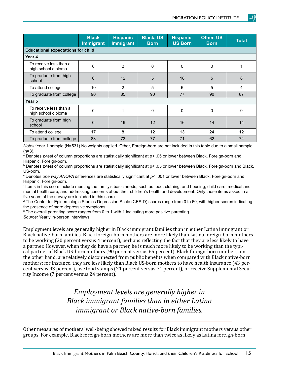|                                               | <b>Black</b><br><b>Immigrant</b> | <b>Hispanic</b><br><b>Immigrant</b> | <b>Black, US</b><br><b>Born</b> | Hispanic,<br><b>US Born</b> | Other, US<br><b>Born</b> | <b>Total</b> |
|-----------------------------------------------|----------------------------------|-------------------------------------|---------------------------------|-----------------------------|--------------------------|--------------|
| <b>Educational expectations for child</b>     |                                  |                                     |                                 |                             |                          |              |
| Year 4                                        |                                  |                                     |                                 |                             |                          |              |
| To receive less than a<br>high school diploma | $\mathbf 0$                      | $\overline{2}$                      | $\mathbf 0$                     | $\mathbf 0$                 | 0                        |              |
| To graduate from high<br>school               | $\mathbf 0$                      | 12                                  | 5                               | 18                          | 5                        | 8            |
| To attend college                             | 10                               | 2                                   | 5                               | 6                           | 5                        | 4            |
| To graduate from college                      | 90                               | 85                                  | 90                              | 77                          | 90                       | 87           |
| Year <sub>5</sub>                             |                                  |                                     |                                 |                             |                          |              |
| To receive less than a<br>high school diploma | 0                                | 1                                   | $\Omega$                        | 0                           | 0                        | 0            |
| To graduate from high<br>school               | $\mathbf 0$                      | 19                                  | 12                              | 16                          | 14                       | 14           |
| To attend college                             | 17                               | 8                                   | 12                              | 13                          | 24                       | 12           |
| To graduate from college                      | 83                               | 73                                  | 77                              | 71                          | 62                       | 74           |

*Notes:* Year 1 sample (N=531) No weights applied. Other, Foreign-born are not included in this table due to a small sample  $(n=3)$ .

a Denotes z-test of column proportions are statistically significant at p< .05 or lower between Black, Foreign-born and Hispanic, Foreign-born.

b Denotes z-test of column proportions are statistically significant at p< .05 or lower between Black, Foreign-born and Black, US-born.

c Denotes *one way ANOVA* differences are statistically significant at *p*< .001 or lower between Black, Foreign-born and Hispanic, Foreign-born.

1 Items in this score include meeting the family's basic needs, such as food, clothing, and housing; child care; medical and mental health care; and addressing concerns about their children's health and development. Only those items asked in all five years of the survey are included in this score.

2 The Center for Epidemiologic Studies Depression Scale (CES-D) scores range from 0 to 60, with higher scores indicating the presence of more depressive symptoms.

 $^3$  The overall parenting score ranges from 0 to 1 with 1 indicating more positive parenting.

*Source:* Yearly in-person interviews.

Employment levels are generally higher in Black immigrant families than in either Latina immigrant or Black native-born families. Black foreign-born mothers are more likely than Latina foreign-born mothers to be working (20 percent versus 4 percent), perhaps reflecting the fact that they are less likely to have a partner. However, when they do have a partner, he is much more likely to be working than the typical partner of Black US-born mothers (90 percent versus 65 percent). Black foreign-born mothers, on the other hand, are relatively disconnected from public benefits when compared with Black native-born mothers; for instance, they are less likely than Black US-born mothers to have health insurance (43 percent versus 93 percent), use food stamps (21 percent versus 71 percent), or receive Supplemental Security Income (7 percent versus 24 percent).

> *Employment levels are generally higher in Black immigrant families than in either Latina immigrant or Black native-born families.*

Other measures of mothers' well-being showed mixed results for Black immigrant mothers versus other groups. For example, Black foreign-born mothers are more than twice as likely as Latina foreign-born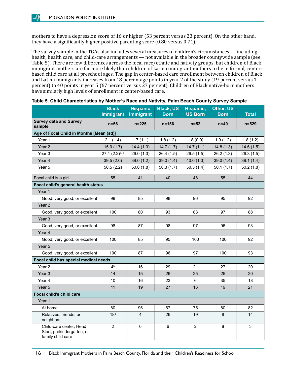

mothers to have a depression score of 16 or higher (53 percent versus 23 percent). On the other hand, they have a significantly higher positive parenting score (0.80 versus 0.71).

The survey sample in the TGAs also includes several measures of children's circumstances — including health, health care, and child-care arrangements — not available in the broader countywide sample (see Table 5). There are few differences across the focal race/ethnic and nativity groups, but children of Black immigrant mothers are far more likely than children of Latina immigrant mothers to be in formal, centerbased child care at all preschool ages. The gap in center-based care enrollment between children of Black and Latina immigrants increases from 18 percentage points in year 2 of the study (19 percent versus 1 percent) to 40 points in year 5 (67 percent versus 27 percent). Children of Black native-born mothers have similarly high levels of enrollment in center-based care**.**

|                                                                            | <b>Black</b><br><b>Immigrant</b> | <b>Hispanic</b><br><b>Immigrant</b> | <b>Black, US</b><br><b>Born</b> | Hispanic,<br><b>US Born</b> | <b>Other, US</b><br><b>Born</b> | <b>Total</b> |
|----------------------------------------------------------------------------|----------------------------------|-------------------------------------|---------------------------------|-----------------------------|---------------------------------|--------------|
| <b>Survey data and Survey</b><br>sample                                    | $n=56$                           | $n = 225$                           | $n = 156$                       | $n = 52$                    | $n=40$                          | $n = 529$    |
| Age of Focal Child in Months [Mean (sd)]                                   |                                  |                                     |                                 |                             |                                 |              |
| Year 1                                                                     | 2.1(1.4)                         | 1.7(1.1)                            | 1.8(1.2)                        | 1.8(0.9)                    | 1.9(1.2)                        | 1.8(1.2)     |
| Year <sub>2</sub>                                                          | 15.0(1.7)                        | 14.4(1.3)                           | 14.7(1.7)                       | 14.7(1.1)                   | 14.8(1.3)                       | 14.6(1.5)    |
| Year 3                                                                     | $27.1 (2.2)^{a, b}$              | 26.0(1.3)                           | 26.4(1.5)                       | 26.5(1.5)                   | 26.2(1.3)                       | 26.3(1.5)    |
| Year 4                                                                     | 39.5(2.0)                        | 39.0(1.2)                           | 39.0(1.4)                       | 40.0(1.3)                   | 39.0(1.4)                       | 39.1(1.4)    |
| Year 5                                                                     | 50.5(2.2)                        | 50.0(1.8)                           | 50.3(1.7)                       | 50.5(1.4)                   | 50.1(1.7)                       | 50.2(1.8)    |
| Focal child is a girl                                                      | 55                               | 41                                  | 40                              | 46                          | 55                              | 44           |
| Focal child's general health status                                        |                                  |                                     |                                 |                             |                                 |              |
| Year 1                                                                     |                                  |                                     |                                 |                             |                                 |              |
| Good, very good, or excellent                                              | 98                               | 85                                  | 98                              | 96                          | 95                              | 92           |
| Year <sub>2</sub>                                                          |                                  |                                     |                                 |                             |                                 |              |
| Good, very good, or excellent                                              | 100                              | 80                                  | 93                              | 83                          | 97                              | 88           |
| Year <sub>3</sub>                                                          |                                  |                                     |                                 |                             |                                 |              |
| Good, very good, or excellent                                              | 98                               | 87                                  | 98                              | 97                          | 96                              | 93           |
| Year 4                                                                     |                                  |                                     |                                 |                             |                                 |              |
| Good, very good, or excellent                                              | 100                              | 85                                  | 95                              | 100                         | 100                             | 92           |
| Year 5                                                                     |                                  |                                     |                                 |                             |                                 |              |
| Good, very good, or excellent                                              | 100                              | 87                                  | 96                              | 97                          | 100                             | 93           |
| Focal child has special medical needs                                      |                                  |                                     |                                 |                             |                                 |              |
| Year 2                                                                     | $4^{\text{b}}$                   | 16                                  | 29                              | 21                          | 27                              | 20           |
| Year <sub>3</sub>                                                          | 14                               | 15                                  | 26                              | 25                          | 25                              | 20           |
| Year 4                                                                     | 10                               | 16                                  | 23                              | 6                           | 35                              | 18           |
| Year 5                                                                     | 11                               | 19                                  | 27                              | 16                          | 19                              | 21           |
| <b>Focal child's child care</b>                                            |                                  |                                     |                                 |                             |                                 |              |
| Year 1                                                                     |                                  |                                     |                                 |                             |                                 |              |
| At home                                                                    | 80                               | 96                                  | 67                              | 75                          | 80                              | 82           |
| Relatives, friends, or<br>neighbors                                        | 18 <sup>a</sup>                  | 4                                   | 26                              | 19                          | $\bf 8$                         | 14           |
| Child-care center, Head<br>Start, prekindergarten, or<br>family child care | $\overline{2}$                   | 0                                   | 6                               | $\overline{2}$              | 8                               | 3            |

|  |  | Table 5. Child Characteristics by Mother's Race and Nativity, Palm Beach County Survey Sample |  |  |
|--|--|-----------------------------------------------------------------------------------------------|--|--|
|--|--|-----------------------------------------------------------------------------------------------|--|--|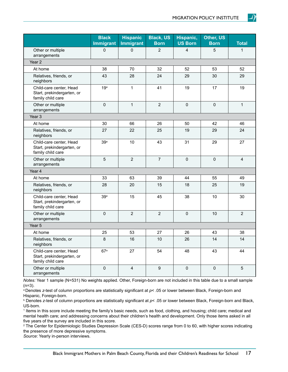|                                                                            | <b>Black</b><br><b>Immigrant</b> | <b>Hispanic</b><br><b>Immigrant</b> | <b>Black, US</b><br><b>Born</b> | Hispanic,<br><b>US Born</b> | Other, US<br><b>Born</b> | <b>Total</b>   |
|----------------------------------------------------------------------------|----------------------------------|-------------------------------------|---------------------------------|-----------------------------|--------------------------|----------------|
| Other or multiple<br>arrangements                                          | $\mathbf 0$                      | $\mathbf 0$                         | $\overline{2}$                  | $\overline{4}$              | 5                        | 1              |
| Year <sub>2</sub>                                                          |                                  |                                     |                                 |                             |                          |                |
| At home                                                                    | 38                               | 70                                  | 32                              | 52                          | 53                       | 52             |
| Relatives, friends, or<br>neighbors                                        | 43                               | 28                                  | 24                              | 29                          | 30                       | 29             |
| Child-care center, Head<br>Start, prekindergarten, or<br>family child care | 19 <sup>a</sup>                  | $\mathbf{1}$                        | 41                              | 19                          | 17                       | 19             |
| Other or multiple<br>arrangements                                          | $\mathbf 0$                      | $\mathbf{1}$                        | $\overline{2}$                  | $\mathbf{0}$                | $\Omega$                 | 1              |
| Year <sub>3</sub>                                                          |                                  |                                     |                                 |                             |                          |                |
| At home                                                                    | 30                               | 66                                  | 26                              | 50                          | 42                       | 46             |
| Relatives, friends, or<br>neighbors                                        | 27                               | 22                                  | 25                              | 19                          | 29                       | 24             |
| Child-care center, Head<br>Start, prekindergarten, or<br>family child care | 39a                              | 10                                  | 43                              | 31                          | 29                       | 27             |
| Other or multiple<br>arrangements                                          | 5                                | $\overline{2}$                      | $\overline{7}$                  | 0                           | $\pmb{0}$                | $\overline{4}$ |
| Year 4                                                                     |                                  |                                     |                                 |                             |                          |                |
| At home                                                                    | 33                               | 63                                  | 39                              | 44                          | 55                       | 49             |
| Relatives, friends, or<br>neighbors                                        | 28                               | 20                                  | 15                              | 18                          | 25                       | 19             |
| Child-care center, Head<br>Start, prekindergarten, or<br>family child care | 39a                              | 15                                  | 45                              | 38                          | 10                       | 30             |
| Other or multiple<br>arrangements                                          | $\pmb{0}$                        | $\overline{2}$                      | $\overline{2}$                  | $\mathbf 0$                 | 10                       | $\overline{2}$ |
| Year 5                                                                     |                                  |                                     |                                 |                             |                          |                |
| At home                                                                    | 25                               | 53                                  | 27                              | 26                          | 43                       | 38             |
| Relatives, friends, or<br>neighbors                                        | $\bf 8$                          | 16                                  | 10                              | 26                          | 14                       | 14             |
| Child-care center, Head<br>Start, prekindergarten, or<br>family child care | 67a                              | 27                                  | 54                              | 48                          | 43                       | 44             |
| Other or multiple<br>arrangements                                          | $\pmb{0}$                        | 4                                   | 9                               | 0                           | 0                        | 5              |

*Notes:* Year 1 sample (N=531) No weights applied. Other, Foreign-born are not included in this table due to a small sample  $(n=3)$ .

a Denotes *z*-test of column proportions are statistically significant at *p*< .05 or lower between Black, Foreign-born and Hispanic, Foreign-born.

b Denotes *z*-test of column proportions are statistically significant at *p*< .05 or lower between Black, Foreign-born and Black, US-born.

1 Items in this score include meeting the family's basic needs, such as food, clothing, and housing; child care; medical and mental health care; and addressing concerns about their children's health and development. Only those items asked in all five years of the survey are included in this score.

2 The Center for Epidemiologic Studies Depression Scale (CES-D) scores range from 0 to 60, with higher scores indicating the presence of more depressive symptoms.

*Source*: Yearly in-person interviews.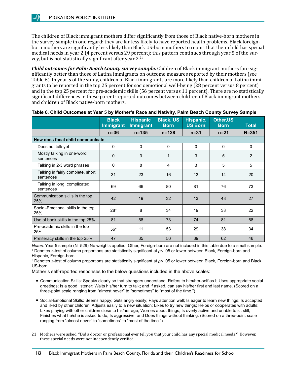The children of Black immigrant mothers differ significantly from those of Black native-born mothers in the survey sample in one regard: they are far less likely to have reported health problems. Black foreignborn mothers are significantly less likely than Black US-born mothers to report that their child has special medical needs in year 2 (4 percent versus 29 percent); this pattern continues through year 5 of the survey, but is not statistically significant after year  $2^{21}$ 

*Child outcomes for Palm Beach County survey sample.* Children of Black immigrant mothers fare significantly better than those of Latina immigrants on outcome measures reported by their mothers (see Table 6). In year 5 of the study, children of Black immigrants are more likely than children of Latina immigrants to be reported in the top 25 percent for socioemotional well-being (28 percent versus 8 percent) and in the top 25 percent for pre-academic skills (56 percent versus 11 percent). There are no statistically significant differences in these parent-reported outcomes between children of Black immigrant mothers and children of Black native-born mothers.

|                                                | <b>Black</b><br><b>Immigrant</b> | <b>Hispanic</b><br><b>Immigrant</b> | <b>Black, US</b><br><b>Born</b> | Hispanic,<br><b>US Born</b> | Other, US<br><b>Born</b> | <b>Total</b> |
|------------------------------------------------|----------------------------------|-------------------------------------|---------------------------------|-----------------------------|--------------------------|--------------|
|                                                | $n=36$                           | $n = 135$                           | $n = 128$                       | $n = 31$                    | $n = 21$                 | $N = 351$    |
| How does focal child communicate               |                                  |                                     |                                 |                             |                          |              |
| Does not talk yet                              | 0                                | 0                                   | 0                               | 0                           | 0                        | 0            |
| Mostly talking in one-word<br>sentences        | $\mathbf 0$                      | 3                                   | 1                               | 3                           | 5                        | 2            |
| Talking in 2-3 word phrases                    | $\pmb{0}$                        | 8                                   | 4                               | 3                           | 5                        | 5            |
| Talking in fairly complete, short<br>sentences | 31                               | 23                                  | 16                              | 13                          | 14                       | 20           |
| Talking in long, complicated<br>sentences      | 69                               | 66                                  | 80                              | 81                          | 76                       | 73           |
| Communication skills in the top<br>25%         | 42                               | 19                                  | 32                              | 13                          | 48                       | 27           |
| Social-Emotional skills in the top<br>25%      | 28 <sup>a</sup>                  | 8                                   | 34                              | 19                          | 38                       | 22           |
| Use of book skills in the top 25%              | 81                               | 58                                  | 73                              | 74                          | 81                       | 68           |
| Pre-academic skills in the top<br>25%          | 56 <sup>a</sup>                  | 11                                  | 53                              | 29                          | 38                       | 34           |
| Preliteracy skills in the top 25%              | 47                               | 35                                  | 56                              | 39                          | 62                       | 46           |

|  | Table 6. Child Outcomes at Year 5 by Mother's Race and Nativity, Palm Beach County Survey Sample |  |  |
|--|--------------------------------------------------------------------------------------------------|--|--|
|  |                                                                                                  |  |  |

*Notes:* Year 5 sample (N=529) No weights applied. Other, Foreign-born are not included in this table due to a small sample. a Denotes *z*-test of column proportions are statistically significant at *p*< .05 or lower between Black, Foreign-born and Hispanic, Foreign-born.

b Denotes *z*-test of column proportions are statistically significant at *p*< .05 or lower between Black, Foreign-born and Black, US-born.

Mother's self-reported responses to the below questions included in the above scales:

- Communication Skills: Speaks clearly so that strangers understand; Refers to him/her-self as I; Uses appropriate social greetings; Is a good listener; Waits his/her turn to talk; and If asked, can say his/her first and last name. (Scored on a three-point scale ranging from "almost never" to "sometimes" to "most of the time.")
- Social-Emotional Skills: Seems happy; Gets angry easily; Pays attention well; Is eager to learn new things; Is accepted and liked by other children; Adjusts easily to a new situation; Likes to try new things; Helps or cooperates with adults; Likes playing with other children close to his/her age; Worries about things; Is overly active and unable to sit still; Finishes what he/she is asked to do; Is aggressive; and Does things without thinking. (Scored on a three-point scale ranging from "almost never" to "sometimes" to "most of the time.")

<sup>21</sup> Mothers were asked, "Did a doctor or professional ever tell you that your child has any special medical needs?" However, these special needs were not independently verified.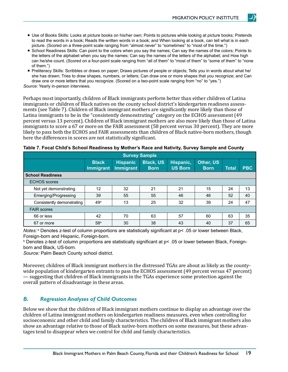- Use of Books Skills: Looks at picture books on his/her own; Points to pictures while looking at picture books; Pretends to read the words in a book; Reads the written words in a book; and When looking at a book, can tell what is in each picture. (Scored on a three-point scale ranging from "almost never" to "sometimes" to "most of the time.")
- School Readiness Skills: Can point to the colors when you say the names; Can say the names of the colors; Points to the letters of the alphabet when you say the names; Can say the names of the letters of the alphabet; and How high can he/she count. (Scored on a four-point scale ranging from "all of them" to "most of them" to "some of them" to "none of them.")
- Preliteracy Skills: Scribbles or draws on paper; Draws pictures of people or objects; Tells you in words about what he/ she has drawn; Tries to draw shapes, numbers, or letters; Can draw one or more shapes that you recognize; and Can draw one or more letters that you recognize. (Scored on a two-point scale ranging from "no" to "yes.") *Source:* Yearly in-person interviews.

Perhaps most importantly, children of Black immigrants perform better than either children of Latina immigrants or children of Black natives on the county school district's kindergarten readiness assessments (see Table 7). Children of Black immigrant mothers are significantly more likely than those of Latina immigrants to be in the "consistently demonstrating" category on the ECHOS assessment (49 percent versus 13 percent). Children of Black immigrant mothers are also more likely than those of Latina immigrants to score a 67 or more on the FAIR assessment (58 percent versus 30 percent). They are more likely to pass both the ECHOS and FAIR assessments than children of Black native-born mothers, though here the differences in scores are not statistically significant.

| <b>Survey Sample</b>       |                                  |                                     |                                 |                             |                          |              |            |  |  |  |  |
|----------------------------|----------------------------------|-------------------------------------|---------------------------------|-----------------------------|--------------------------|--------------|------------|--|--|--|--|
|                            | <b>Black</b><br><b>Immigrant</b> | <b>Hispanic</b><br><b>Immigrant</b> | <b>Black, US</b><br><b>Born</b> | Hispanic,<br><b>US Born</b> | Other, US<br><b>Born</b> | <b>Total</b> | <b>PBC</b> |  |  |  |  |
| <b>School Readiness</b>    |                                  |                                     |                                 |                             |                          |              |            |  |  |  |  |
| <b>ECHOS</b> scores        |                                  |                                     |                                 |                             |                          |              |            |  |  |  |  |
| Not yet demonstrating      | 12                               | 32                                  | 21                              | 21                          | 15                       | 24           | 13         |  |  |  |  |
| Emerging/Progressing       | 39                               | 55                                  | 55                              | 46                          | 46                       | 52           | 40         |  |  |  |  |
| Consistently demonstrating | 49 <sup>a</sup>                  | 13                                  | 25                              | 32                          | 39                       | 24           | 47         |  |  |  |  |
| <b>FAIR scores</b>         |                                  |                                     |                                 |                             |                          |              |            |  |  |  |  |
| 66 or less                 | 42                               | 70                                  | 63                              | 57                          | 60                       | 63           | 35         |  |  |  |  |
| 67 or more                 | 58 <sup>a</sup>                  | 30                                  | 38                              | 43                          | 40                       | 37           | 65         |  |  |  |  |

| Table 7. Focal Child's School Readiness by Mother's Race and Nativity, Survey Sample and County |  |  |  |
|-------------------------------------------------------------------------------------------------|--|--|--|
|-------------------------------------------------------------------------------------------------|--|--|--|

*Notes:* <sup>a</sup> Denotes z-test of column proportions are statistically significant at p< .05 or lower between Black, Foreign-born and Hispanic, Foreign-born.

 $^{\rm b}$  Denotes z-test of column proportions are statistically significant at p< .05 or lower between Black, Foreignborn and Black, US-born.

*Source:* Palm Beach County school district.

Moreover, children of Black immigrant mothers in the distressed TGAs are about as likely as the countywide population of kindergarten entrants to pass the ECHOS assessment (49 percent versus 47 percent) — suggesting that children of Black immigrants in the TGAs experience some protection against the overall pattern of disadvantage in these areas.

#### *B. Regression Analyses of Child Outcomes*

Below we show that the children of Black immigrant mothers continue to display an advantage over the children of Latina immigrant mothers on kindergarten readiness measures, even when controlling for socioeconomic and other child and family characteristics. The children of Black immigrant mothers also show an advantage relative to those of Black native-born mothers on some measures, but these advantages tend to disappear when we control for child and family characteristics.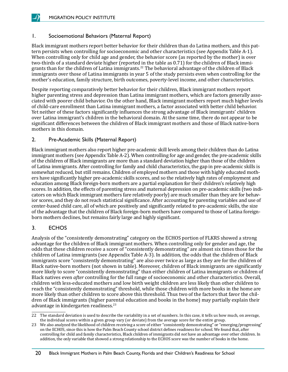#### <span id="page-23-0"></span>1. Socioemotional Behaviors (Maternal Report)

Black immigrant mothers report better behavior for their children than do Latina mothers, and this pattern persists when controlling for socioeconomic and other characteristics (see Appendix Table A-1). When controlling only for child age and gender, the behavior score (as reported by the mother) is over two-thirds of a standard deviate higher (reported in the table as 0.71) for the children of Black immigrants than for the children of Latina immigrants.<sup>22</sup> The behavioral advantage of the children of Black immigrants over those of Latina immigrants in year 5 of the study persists even when controlling for the mother's education, family structure, birth outcomes, poverty-level income, and other characteristics.

Despite reporting comparatively better behavior for their children, Black immigrant mothers report higher parenting stress and depression than Latina immigrant mothers, which are factors generally associated with poorer child behavior. On the other hand, Black immigrant mothers report much higher levels of child-care enrollment than Latina immigrant mothers, a factor associated with better child behavior. Yet neither of these factors significantly influences the strong advantage of Black immigrants' children over Latina immigrant's children in the behavioral domain. At the same time, there do not appear to be significant differences between the children of Black immigrant mothers and those of Black native-born mothers in this domain.

#### 2. Pre-Academic Skills (Maternal Report)

Black immigrant mothers also report higher pre-academic skill levels among their children than do Latina immigrant mothers (see Appendix Table A-2). When controlling for age and gender, the pre-academic skills of the children of Black immigrants are more than a standard deviation higher than those of the children of Latina immigrants. After controlling for family and child characteristics, the gap in pre-academic skills is somewhat reduced, but still remains. Children of employed mothers and those with highly educated mothers have significantly higher pre-academic skills scores, and so the relatively high rates of employment and education among Black foreign-born mothers are a partial explanation for their children's relatively high scores. In addition, the effects of parenting stress and maternal depression on pre-academic skills (two indicators on which Black immigrant mothers fare relatively poorly) are much smaller than they are for behavior scores, and they do not reach statistical significance. After accounting for parenting variables and use of center-based child care, all of which are positively and significantly related to pre-academic skills, the size of the advantage that the children of Black foreign-born mothers have compared to those of Latina foreignborn mothers declines, but remains fairly large and highly significant.

#### 3. ECHOS

Analysis of the "consistently demonstrating" category on the ECHOS portion of FLKRS showed a strong advantage for the children of Black immigrant mothers. When controlling only for gender and age, the odds that these children receive a score of "consistently demonstrating" are almost six times those for the children of Latina immigrants (see Appendix Table A-3). In addition, the odds that the children of Black immigrants score "consistently demonstrating" are also over twice as large as they are for the children of Black native-born mothers (not shown in table). Moreover, children of Black immigrants are significantly more likely to score "consistently demonstrating" than either children of Latina immigrants or children of Black natives even *after* controlling for the full range of socioeconomic and other characteristics. Overall, children with less-educated mothers and low birth weight children are less likely than other children to reach the "consistently demonstrating" threshold, while those children with more books in the home are more likely than other children to score above this threshold. Thus two of the factors that favor the children of Black immigrants (higher parental education and books in the home) may partially explain their advantage in kindergarten readiness.<sup>23</sup>

<sup>22</sup> The standard deviation is used to describe the variability in a set of numbers. In this case, it tells us how much, on average, the individual scores within a given group vary (or deviate) from the average score for the entire group.

<sup>23</sup> We also analyzed the likelihood of children receiving a score of either "consistently demonstrating" or "emerging/progressing" on the ECHOS, since this is how the Palm Beach County school district defines readiness for school. We found that, after controlling for child and family characteristics, Black children of immigrants did *not* have an advantage over other children. In addition, the only variable that showed a strong relationship to the ECHOS score was the number of books in the home.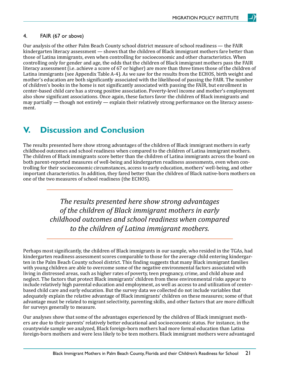#### <span id="page-24-0"></span>4. FAIR (67 or above)

Our analysis of the other Palm Beach County school district measure of school readiness — the FAIR kindergarten literacy assessment — shows that the children of Black immigrant mothers fare better than those of Latina immigrants, even when controlling for socioeconomic and other characteristics. When controlling only for gender and age, the odds that the children of Black immigrant mothers pass the FAIR literacy assessment (i.e. achieve a score of 67 or higher) are more than three times those of the children of Latina immigrants (see Appendix Table A-4). As we saw for the results from the ECHOS, birth weight and mother's education are both significantly associated with the likelihood of passing the FAIR. The number of children's books in the home is not significantly associated with passing the FAIR, but enrollment in center-based child care has a strong positive association. Poverty-level income and mother's employment also show significant associations. Once again, these factors favor the children of Black immigrants and may partially — though not entirely — explain their relatively strong performance on the literacy assessment.

### **V. Discussion and Conclusion**

The results presented here show strong advantages of the children of Black immigrant mothers in early childhood outcomes and school readiness when compared to the children of Latina immigrant mothers. The children of Black immigrants score better than the children of Latina immigrants across the board on both parent-reported measures of well-being and kindergarten readiness assessments, even when controlling for their socioeconomic circumstances, access to early education, mothers' well-being, and other important characteristics. In addition, they fared better than the children of Black native-born mothers on one of the two measures of school readiness (the ECHOS).

> *The results presented here show strong advantages of the children of Black immigrant mothers in early childhood outcomes and school readiness when compared to the children of Latina immigrant mothers.*

Perhaps most significantly, the children of Black immigrants in our sample, who resided in the TGAs, had kindergarten readiness assessment scores comparable to those for the average child entering kindergarten in the Palm Beach County school district. This finding suggests that many Black immigrant families with young children are able to overcome some of the negative environmental factors associated with living in distressed areas, such as higher rates of poverty, teen pregnancy, crime, and child abuse and neglect. The factors that protect Black immigrants' children from these environmental risks appear to include relatively high parental education and employment, as well as access to and utilization of centerbased child care and early education. But the survey data we collected do not include variables that adequately explain the relative advantage of Black immigrants' children on these measures; some of that advantage must be related to migrant selectivity, parenting skills, and other factors that are more difficult for surveys generally to measure.

Our analyses show that some of the advantages experienced by the children of Black immigrant mothers are due to their parents' relatively better educational and socioeconomic status. For instance, in the countywide sample we analyzed, Black foreign-born mothers had more formal education than Latina foreign-born mothers and were less likely to be teen mothers. Black immigrant mothers were advantaged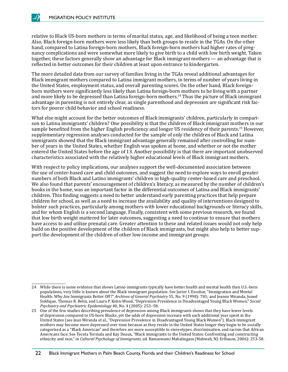relative to Black US-born mothers in terms of marital status, age, and likelihood of being a teen mother. Also, Black foreign-born mothers were less likely than both groups to reside in the TGAs. On the other hand, compared to Latina foreign-born mothers, Black foreign-born mothers had higher rates of pregnancy complications and were somewhat more likely to give birth to a child with low birth weight. Taken together, these factors generally show an advantage for Black immigrant mothers — an advantage that is reflected in better outcomes for their children at least upon entrance to kindergarten.

The more detailed data from our survey of families living in the TGAs reveal additional advantages for Black immigrant mothers compared to Latina immigrant mothers, in terms of number of years living in the United States, employment status, and overall parenting scores. On the other hand, Black foreignborn mothers were significantly less likely than Latina foreign-born mothers to be living with a partner and more likely to be depressed than Latina foreign-born mothers.<sup>24</sup> Thus the picture of Black immigrant advantage in parenting is not entirely clear, as single parenthood and depression are significant risk factors for poorer child behavior and school readiness.

What else might account for the better outcomes of Black immigrants' children, particularly in comparison to Latina immigrants' children? One possibility is that the children of Black immigrant mothers in our sample benefited from the higher English proficiency and longer US residency of their parents.<sup>25</sup> However, supplementary regression analyses conducted for the sample of only the children of Black and Latina immigrants showed that the Black immigrant advantage generally remained after controlling for number of years in the United States, whether English was spoken at home, and whether or not the mother entered the United States before the age of 13. Another possibility is that there are important unobserved characteristics associated with the relatively higher educational levels of Black immigrant mothers.

With respect to policy implications, our analyses support the well-documented association between the use of center-based care and child outcomes, and suggest the need to explore ways to enroll greater numbers of both Black and Latino immigrants' children in high-quality center-based care and preschool. We also found that parents' encouragement of children's literacy, as measured by the number of children's books in the home, was an important factor in the differential outcomes of Latina and Black immigrants' children. This finding suggests a need to better understand early parenting practices that help prepare children for school, as well as a need to increase the availability and quality of interventions designed to bolster such practices, particularly among mothers with lower educational backgrounds or literacy skills, and for whom English is a second language. Finally, consistent with some previous research, we found that low birth weight mattered for later outcomes, suggesting a need to continue to ensure that mothers have access to and utilize prenatal care. Greater attention to these and related issues would not only help build on the positive development of the children of Black immigrants, but might also help to better support the development of the children of other low-income and immigrant groups.

<sup>24</sup> While there is some evidence that shows Latino immigrants typically have better health and mental health than U.S.-born populations, very little is known about the Black immigrant population. See Javier I. Escobar, "Immigration and Mental Health: Why Are Immigrants Better Off?" *Archives of General Psychiatry* 55, No. 9 (1998): 781; and Jeanne Miranda, Juned Siddique, Thomas R. Belin, and Laura P. Kohn-Wood, "Depression Prevalence in Disadvantaged Young Black Women," *Social Psychiatry and Psychiatric Epidemiology* 40, No. 4 (2005): 253−58.

<sup>25</sup> One of the few studies describing prevalence of depression among Black immigrants shows that they have lower levels of depression compared to US-born Blacks, yet the odds of depression increase with each additional year spent in the United States (see Jean Miranda et al., "Depression Prevalence in Disadvantaged Young Black Women"). Black immigrant mothers may become more depressed over time because as they reside in the United States longer they begin to be socially categorized as a "Black American" and therefore are more susceptible to stereotypes, discrimination, and racism that African Americans face. See Teceta Tormala and Kay Deaux, "Black immigrants to the United States: Confronting and constructing ethnicity and race," in *Cultural Psychology of Immigrants,* ed. Ramaswami Mahalingam (Mahwah, NJ: Erlbaum, 2006): 253-58.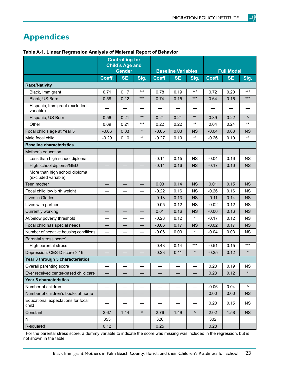# <span id="page-26-0"></span>**Appendices**

|                                                      | <b>Controlling for</b><br><b>Child's Age and</b><br><b>Gender</b> |           | <b>Baseline Variables</b> |         |           | <b>Full Model</b> |         |           |                        |
|------------------------------------------------------|-------------------------------------------------------------------|-----------|---------------------------|---------|-----------|-------------------|---------|-----------|------------------------|
|                                                      | Coeff.                                                            | <b>SE</b> | Sig.                      | Coeff.  | <b>SE</b> | Sig.              | Coeff.  | <b>SE</b> | Sig.                   |
| <b>Race/Nativity</b>                                 |                                                                   |           |                           |         |           |                   |         |           |                        |
| Black, Immigrant                                     | 0.71                                                              | 0.17      | $***$                     | 0.78    | 0.19      | ***               | 0.72    | 0.20      | $***$                  |
| Black, US Born                                       | 0.58                                                              | 0.12      | $***$                     | 0.74    | 0.15      | ***               | 0.64    | 0.16      | $***$                  |
| Hispanic, Immigrant (excluded<br>variable)           |                                                                   |           |                           |         |           |                   |         |           |                        |
| Hispanic, US Born                                    | 0.56                                                              | 0.21      | $***$                     | 0.21    | 0.21      | $***$             | 0.39    | 0.22      | $\boldsymbol{\Lambda}$ |
| Other                                                | 0.69                                                              | 0.21      | $***$                     | 0.22    | 0.22      | $***$             | 0.64    | 0.24      | $^{\star\star}$        |
| Focal child's age at Year 5                          | $-0.06$                                                           | 0.03      | *                         | $-0.05$ | 0.03      | <b>NS</b>         | $-0.04$ | 0.03      | <b>NS</b>              |
| Male focal child                                     | $-0.29$                                                           | 0.10      | $***$                     | $-0.27$ | 0.10      | $***$             | $-0.26$ | 0.10      | $^{\star\star}$        |
| <b>Baseline characteristics</b>                      |                                                                   |           |                           |         |           |                   |         |           |                        |
| Mother's education                                   |                                                                   |           |                           |         |           |                   |         |           |                        |
| Less than high school diploma                        |                                                                   |           |                           | $-0.14$ | 0.15      | <b>NS</b>         | $-0.04$ | 0.16      | <b>NS</b>              |
| High school diploma/GED                              |                                                                   |           |                           | $-0.14$ | 0.16      | <b>NS</b>         | $-0.17$ | 0.16      | <b>NS</b>              |
| More than high school diploma<br>(excluded variable) |                                                                   |           |                           |         |           |                   |         |           |                        |
| Teen mother                                          |                                                                   |           |                           | 0.03    | 0.14      | <b>NS</b>         | 0.01    | 0.15      | <b>NS</b>              |
| Focal child low birth weight                         |                                                                   |           |                           | $-0.22$ | 0.16      | <b>NS</b>         | $-0.26$ | 0.16      | <b>NS</b>              |
| Lives in Glades                                      |                                                                   |           |                           | $-0.13$ | 0.13      | <b>NS</b>         | $-0.11$ | 0.14      | <b>NS</b>              |
| Lives with partner                                   |                                                                   |           |                           | $-0.05$ | 0.12      | <b>NS</b>         | $-0.02$ | 0.12      | <b>NS</b>              |
| Currently working                                    |                                                                   |           |                           | 0.01    | 0.16      | <b>NS</b>         | $-0.06$ | 0.16      | <b>NS</b>              |
| At/below poverty threshold                           |                                                                   |           |                           | $-0.28$ | 0.12      | $\star$           | $-0.17$ | 0.12      | <b>NS</b>              |
| Focal child has special needs                        |                                                                   |           |                           | $-0.06$ | 0.17      | <b>NS</b>         | $-0.02$ | 0.17      | <b>NS</b>              |
| Number of negative housing conditions                |                                                                   |           |                           | $-0.06$ | 0.03      | $\star$           | $-0.04$ | 0.03      | <b>NS</b>              |
| Parental stress score <sup>1</sup>                   |                                                                   |           |                           |         |           |                   |         |           |                        |
| High parental stress                                 |                                                                   |           |                           | $-0.48$ | 0.14      | $***$             | $-0.51$ | 0.15      | $***$                  |
| Depression: CES-D score > 16                         |                                                                   |           |                           | $-0.23$ | 0.11      | $\star$           | $-0.25$ | 0.12      | $\star$                |
| Year 3 through 5 characteristics                     |                                                                   |           |                           |         |           |                   |         |           |                        |
| Overall parenting score                              |                                                                   |           |                           |         |           |                   | 0.20    | 0.19      | <b>NS</b>              |
| Ever received center-based child care                |                                                                   |           |                           |         |           |                   | 0.23    | 0.12      | $\star$                |
| <b>Year 5 characteristics</b>                        |                                                                   |           |                           |         |           |                   |         |           |                        |
| Number of children                                   |                                                                   |           |                           |         |           |                   | $-0.06$ | 0.04      | ۸                      |
| Number of children's books at home                   |                                                                   |           |                           |         |           |                   | 0.00    | 0.00      | <b>NS</b>              |
| Educational expectations for focal<br>child          |                                                                   |           |                           |         |           |                   | 0.20    | 0.15      | <b>NS</b>              |
| Constant                                             | 2.67                                                              | 1.44      | ۸                         | 2.76    | 1.49      | $\pmb{\wedge}$    | 2.02    | 1.58      | <b>NS</b>              |
| N                                                    | 353                                                               |           |                           | 326     |           |                   | 302     |           |                        |
| R-squared                                            | 0.12                                                              |           |                           | 0.25    |           |                   | 0.28    |           |                        |

**Table A-1. Linear Regression Analysis of Maternal Report of Behavior**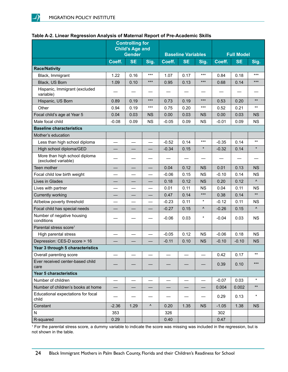|                                                      | <b>Controlling for</b><br><b>Child's Age and</b><br><b>Gender</b> |           |           | <b>Baseline Variables</b> |           |           | <b>Full Model</b> |           |                        |
|------------------------------------------------------|-------------------------------------------------------------------|-----------|-----------|---------------------------|-----------|-----------|-------------------|-----------|------------------------|
|                                                      | Coeff.                                                            | <b>SE</b> | Sig.      | Coeff.                    | <b>SE</b> | Sig.      | Coeff.            | <b>SE</b> | Sig.                   |
| <b>Race/Nativity</b>                                 |                                                                   |           |           |                           |           |           |                   |           |                        |
| Black, Immigrant                                     | 1.22                                                              | 0.16      | $***$     | 1.07                      | 0.17      | $***$     | 0.84              | 0.18      | ***                    |
| Black, US Born                                       | 1.09                                                              | 0.10      | $***$     | 0.95                      | 0.13      | $***$     | 0.68              | 0.14      | $***$                  |
| Hispanic, Immigrant (excluded<br>variable)           |                                                                   |           |           |                           |           |           |                   |           |                        |
| Hispanic, US Born                                    | 0.89                                                              | 0.19      | $***$     | 0.73                      | 0.19      | $***$     | 0.53              | 0.20      | $***$                  |
| Other                                                | 0.94                                                              | 0.19      | $***$     | 0.75                      | 0.20      | $***$     | 0.52              | 0.21      | $***$                  |
| Focal child's age at Year 5                          | 0.04                                                              | 0.03      | <b>NS</b> | 0.00                      | 0.03      | <b>NS</b> | 0.00              | 0.03      | <b>NS</b>              |
| Male focal child                                     | $-0.08$                                                           | 0.09      | <b>NS</b> | $-0.05$                   | 0.09      | <b>NS</b> | $-0.01$           | 0.09      | <b>NS</b>              |
| <b>Baseline characteristics</b>                      |                                                                   |           |           |                           |           |           |                   |           |                        |
| Mother's education                                   |                                                                   |           |           |                           |           |           |                   |           |                        |
| Less than high school diploma                        |                                                                   |           |           | $-0.52$                   | 0.14      | $***$     | $-0.35$           | 0.14      | $***$                  |
| High school diploma/GED                              |                                                                   |           |           | $-0.34$                   | 0.15      | $\star$   | $-0.32$           | 0.14      |                        |
| More than high school diploma<br>(excluded variable) |                                                                   |           |           |                           |           |           |                   |           |                        |
| Teen mother                                          |                                                                   |           |           | 0.04                      | 0.12      | <b>NS</b> | 0.01              | 0.13      | <b>NS</b>              |
| Focal child low birth weight                         |                                                                   |           | —         | $-0.06$                   | 0.15      | <b>NS</b> | $-0.10$           | 0.14      | <b>NS</b>              |
| Lives in Glades                                      |                                                                   |           |           | 0.18                      | 0.12      | <b>NS</b> | 0.20              | 0.12      | $\boldsymbol{\Lambda}$ |
| Lives with partner                                   |                                                                   |           |           | 0.01                      | 0.11      | <b>NS</b> | 0.04              | 0.11      | <b>NS</b>              |
| Currently working                                    |                                                                   |           |           | 0.47                      | 0.14      | $***$     | 0.38              | 0.14      | $\star\star$           |
| At/below poverty threshold                           |                                                                   |           | —         | $-0.23$                   | 0.11      | $\star$   | $-0.12$           | 0.11      | <b>NS</b>              |
| Focal child has special needs                        |                                                                   |           |           | $-0.27$                   | 0.15      | ۸         | $-0.26$           | 0.15      | Λ                      |
| Number of negative housing<br>conditions             |                                                                   |           |           | $-0.06$                   | 0.03      | $\star$   | $-0.04$           | 0.03      | <b>NS</b>              |
| Parental stress score <sup>1</sup>                   |                                                                   |           |           |                           |           |           |                   |           |                        |
| High parental stress                                 |                                                                   |           |           | $-0.05$                   | 0.12      | <b>NS</b> | $-0.06$           | 0.18      | <b>NS</b>              |
| Depression: CES-D score > 16                         |                                                                   |           |           | $-0.11$                   | 0.10      | <b>NS</b> | $-0.10$           | $-0.10$   | <b>NS</b>              |
| Year 3 through 5 characteristics                     |                                                                   |           |           |                           |           |           |                   |           |                        |
| Overall parenting score                              |                                                                   |           |           |                           |           |           | 0.42              | 0.17      | $***$                  |
| Ever received center-based child<br>care             |                                                                   |           |           |                           |           |           | 0.39              | 0.10      | $***$                  |
| Year 5 characteristics                               |                                                                   |           |           |                           |           |           |                   |           |                        |
| Number of children                                   |                                                                   |           |           |                           |           |           | $-0.07$           | 0.03      | $\star$                |
| Number of children's books at home                   |                                                                   |           |           |                           |           | —         | 0.004             | 0.002     | $***$                  |
| Educational expectations for focal<br>child          |                                                                   |           |           |                           |           |           | 0.29              | 0.13      | $\star$                |
| Constant                                             | $-2.36$                                                           | 1.29      | ۸         | 0.20                      | 1.35      | <b>NS</b> | $-1.05$           | 1.38      | <b>NS</b>              |
| N                                                    | 353                                                               |           |           | 326                       |           |           | 302               |           |                        |
| R-squared                                            | 0.29                                                              |           |           | 0.40                      |           |           | 0.47              |           |                        |

#### **Table A-2. Linear Regression Analysis of Maternal Report of Pre-Academic Skills**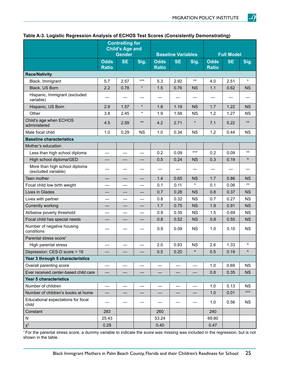|                                                      | <b>Controlling for</b><br><b>Child's Age and</b><br><b>Gender</b> |           |                          |                             | <b>Baseline Variables</b> |           | <b>Full Model</b>           |           |           |
|------------------------------------------------------|-------------------------------------------------------------------|-----------|--------------------------|-----------------------------|---------------------------|-----------|-----------------------------|-----------|-----------|
|                                                      | <b>Odds</b><br>Ratio                                              | <b>SE</b> | Sig.                     | <b>Odds</b><br><b>Ratio</b> | <b>SE</b>                 | Sig.      | <b>Odds</b><br><b>Ratio</b> | <b>SE</b> | Sig.      |
| <b>Race/Nativity</b>                                 |                                                                   |           |                          |                             |                           |           |                             |           |           |
| Black, Immigrant                                     | 5.7                                                               | 2.57      | ***                      | 5.3                         | 2.92                      | $***$     | 4.0                         | 2.51      | $\star$   |
| Black, US Born                                       | 2.2                                                               | 0.78      | $\star$                  | 1.5                         | 0.76                      | <b>NS</b> | 1.1                         | 0.62      | <b>NS</b> |
| Hispanic, Immigrant (excluded<br>variable)           |                                                                   |           |                          |                             |                           |           |                             |           |           |
| Hispanic, US Born                                    | 2.9                                                               | 1.57      | $\star$                  | 1.8                         | 1.19                      | <b>NS</b> | 1.7                         | 1.22      | <b>NS</b> |
| Other                                                | 3.8                                                               | 2.45      | $\star$                  | 1.9                         | 1.58                      | <b>NS</b> | 1.2                         | 1.27      | <b>NS</b> |
| Child's age when ECHOS<br>administered               | 4.5                                                               | 2.59      | $***$                    | 4.2                         | 2.71                      | $\star$   | 7.1                         | 5.22      | $***$     |
| Male focal child                                     | 1.0                                                               | 0.29      | <b>NS</b>                | 1.0                         | 0.34                      | <b>NS</b> | 1.2                         | 0.44      | <b>NS</b> |
| <b>Baseline characteristics</b>                      |                                                                   |           |                          |                             |                           |           |                             |           |           |
| Mother's education                                   |                                                                   |           |                          |                             |                           |           |                             |           |           |
| Less than high school diploma                        |                                                                   |           | $\overline{\phantom{0}}$ | 0.2                         | 0.09                      | $***$     | 0.2                         | 0.09      | $***$     |
| High school diploma/GED                              |                                                                   |           |                          | 0.5                         | 0.24                      | <b>NS</b> | 0.3                         | 0.19      | Λ         |
| More than high school diploma<br>(excluded variable) |                                                                   |           |                          |                             |                           |           |                             |           |           |
| Teen mother                                          |                                                                   |           |                          | 1.4                         | 0.65                      | <b>NS</b> | 1.7                         | 0.86      | <b>NS</b> |
| Focal child low birth weight                         |                                                                   |           |                          | 0.1                         | 0.11                      | $\star$   | 0.1                         | 0.06      | $***$     |
| Lives in Glades                                      |                                                                   |           |                          | 0.7                         | 0.28                      | <b>NS</b> | 0.8                         | 0.37      | <b>NS</b> |
| Lives with partner                                   |                                                                   |           |                          | 0.8                         | 0.32                      | <b>NS</b> | 0.7                         | 0.27      | <b>NS</b> |
| Currently working                                    |                                                                   |           |                          | 1.7                         | 0.75                      | <b>NS</b> | 1.9                         | 0.91      | <b>NS</b> |
| At/below poverty threshold                           |                                                                   |           |                          | 0.9                         | 0.35                      | <b>NS</b> | 1.5                         | 0.69      | <b>NS</b> |
| Focal child has special needs                        |                                                                   |           |                          | 0.8                         | 0.52                      | <b>NS</b> | 0.8                         | 0.55      | <b>NS</b> |
| Number of negative housing<br>conditions             |                                                                   |           |                          | 0.9                         | 0.09                      | <b>NS</b> | 1.0                         | 0.10      | <b>NS</b> |
| Parental stress score <sup>1</sup>                   |                                                                   |           |                          |                             |                           |           |                             |           |           |
| High parental stress                                 |                                                                   |           |                          | 2.0                         | 0.93                      | <b>NS</b> | 2.6                         | 1.33      | Λ         |
| Depression: CES-D score > 16                         |                                                                   |           |                          | 0.5                         | 0.20                      | ۸         | 0.5                         | 0.19      | ۸         |
| Year 3 through 5 characteristics                     |                                                                   |           |                          |                             |                           |           |                             |           |           |
| Overall parenting score                              |                                                                   |           |                          |                             |                           |           | 1.0                         | 0.69      | <b>NS</b> |
| Ever received center-based child care                |                                                                   |           |                          |                             |                           |           | 0.8                         | 0.35      | <b>NS</b> |
| Year 5 characteristics                               |                                                                   |           |                          |                             |                           |           |                             |           |           |
| Number of children                                   |                                                                   |           |                          |                             |                           |           | 1.0                         | 0.13      | <b>NS</b> |
| Number of children's books at home                   |                                                                   |           | $\overline{\phantom{0}}$ | $\overline{\phantom{0}}$    | $\overline{\phantom{0}}$  |           | 1.0                         | 0.01      | $***$     |
| Educational expectations for focal<br>child          |                                                                   |           |                          |                             |                           |           | 1.0                         | 0.56      | <b>NS</b> |
| Constant                                             | 283                                                               |           |                          | 260                         |                           |           | 240                         |           |           |
| N                                                    | 25.43                                                             |           |                          | 53.24                       |                           |           | 69.80                       |           |           |
| $\mathsf{X}^2$                                       | 0.29                                                              |           |                          | 0.40                        |                           |           | 0.47                        |           |           |

#### **Table A-3. Logistic Regression Analysis of ECHOS Test Scores (Consistently Demonstrating)**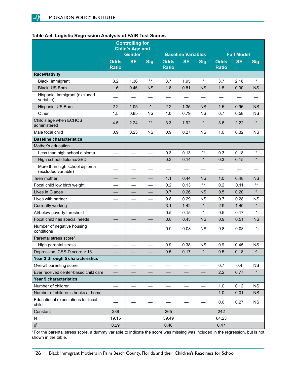#### **Table A-4. Logistic Regression Analysis of FAIR Test Scores**

|                                                      | <b>Controlling for</b><br><b>Child's Age and</b><br><b>Gender</b> |           |                          | <b>Baseline Variables</b>   |                          | <b>Full Model</b> |                             |           |           |
|------------------------------------------------------|-------------------------------------------------------------------|-----------|--------------------------|-----------------------------|--------------------------|-------------------|-----------------------------|-----------|-----------|
|                                                      | <b>Odds</b><br><b>Ratio</b>                                       | <b>SE</b> | Sig.                     | <b>Odds</b><br><b>Ratio</b> | <b>SE</b>                | Sig.              | <b>Odds</b><br><b>Ratio</b> | <b>SE</b> | Sig.      |
| <b>Race/Nativity</b>                                 |                                                                   |           |                          |                             |                          |                   |                             |           |           |
| Black, Immigrant                                     | 3.2                                                               | 1.36      | $***$                    | 3.7                         | 1.95                     | $\star$           | 3.7                         | 2.18      | $\star$   |
| Black, US Born                                       | 1.6                                                               | 0.46      | <b>NS</b>                | 1.8                         | 0.81                     | <b>NS</b>         | 1.8                         | 0.90      | <b>NS</b> |
| Hispanic, Immigrant (excluded<br>variable)           |                                                                   |           |                          |                             |                          |                   |                             |           |           |
| Hispanic, US Born                                    | 2.2                                                               | 1.05      | Λ                        | 2.2                         | 1.35                     | <b>NS</b>         | 1.5                         | 0.96      | <b>NS</b> |
| Other                                                | 1.5                                                               | 0.85      | <b>NS</b>                | 1.0                         | 0.79                     | <b>NS</b>         | 0.7                         | 0.58      | <b>NS</b> |
| Child's age when ECHOS<br>administered               | 4.5                                                               | 2.24      | $***$                    | 3.3                         | 1.92                     | $\star$           | 3.6                         | 2.22      | $\star$   |
| Male focal child                                     | 0.9                                                               | 0.23      | <b>NS</b>                | 0.9                         | 0.27                     | <b>NS</b>         | 1.0                         | 0.32      | <b>NS</b> |
| <b>Baseline characteristics</b>                      |                                                                   |           |                          |                             |                          |                   |                             |           |           |
| Mother's education                                   |                                                                   |           |                          |                             |                          |                   |                             |           |           |
| Less than high school diploma                        |                                                                   |           |                          | 0.3                         | 0.13                     | $***$             | 0.3                         | 0.18      | $\star$   |
| High school diploma/GED                              |                                                                   |           |                          | 0.3                         | 0.14                     | $\star$           | 0.3                         | 0.15      | $\star$   |
| More than high school diploma<br>(excluded variable) |                                                                   |           |                          |                             |                          |                   |                             |           |           |
| Teen mother                                          |                                                                   |           |                          | 1.1                         | 0.44                     | <b>NS</b>         | 1.0                         | 0.48      | <b>NS</b> |
| Focal child low birth weight                         |                                                                   |           |                          | 0.2                         | 0.13                     | $***$             | 0.2                         | 0.11      | $***$     |
| Lives in Glades                                      |                                                                   |           |                          | 0.7                         | 0.26                     | <b>NS</b>         | 0.5                         | 0.20      | Λ         |
| Lives with partner                                   |                                                                   |           |                          | 0.8                         | 0.29                     | <b>NS</b>         | 0.7                         | 0.28      | <b>NS</b> |
| Currently working                                    |                                                                   |           |                          | 3.1                         | 1.42                     | $\star$           | 2.9                         | 1.40      | $\star$   |
| At/below poverty threshold                           |                                                                   |           |                          | 0.5                         | 0.15                     | $\star$           | 0.5                         | 0.17      | $\star$   |
| Focal child has special needs                        |                                                                   |           |                          | 0.8                         | 0.43                     | <b>NS</b>         | 0.9                         | 0.51      | <b>NS</b> |
| Number of negative housing<br>conditions             |                                                                   |           |                          | 0.9                         | 0.08                     | <b>NS</b>         | 0.8                         | 0.08      | $\star$   |
| Parental stress score <sup>1</sup>                   |                                                                   |           |                          |                             |                          |                   |                             |           |           |
| High parental stress                                 |                                                                   |           |                          | 0.9                         | 0.38                     | <b>NS</b>         | 0.9                         | 0.45      | <b>NS</b> |
| Depression: CES-D score > 16                         |                                                                   |           |                          | 0.5                         | 0.17                     | $\star$           | 0.5                         | 0.18      | ۸         |
| Year 3 through 5 characteristics                     |                                                                   |           |                          |                             |                          |                   |                             |           |           |
| Overall parenting score                              |                                                                   |           |                          |                             |                          |                   | 0.7                         | 0.4       | <b>NS</b> |
| Ever received center-based child care                |                                                                   |           |                          |                             |                          |                   | 2.2                         | 0.77      | $\star$   |
| Year 5 characteristics                               |                                                                   |           |                          |                             |                          |                   |                             |           |           |
| Number of children                                   |                                                                   |           |                          |                             |                          |                   | 1.0                         | 0.12      | <b>NS</b> |
| Number of children's books at home                   |                                                                   |           | $\overline{\phantom{0}}$ |                             | $\overline{\phantom{0}}$ |                   | 1.0                         | 0.01      | <b>NS</b> |
| Educational expectations for focal<br>child          |                                                                   |           |                          |                             |                          |                   | 0.6                         | 0.27      | <b>NS</b> |
| Constant                                             | 289                                                               |           |                          | 265                         |                          |                   | 242                         |           |           |
| N                                                    | 19.15                                                             |           |                          | 59.49                       |                          |                   | 64.23                       |           |           |
| $\mathsf{X}^2$                                       | 0.29                                                              |           |                          | 0.40                        |                          |                   | 0.47                        |           |           |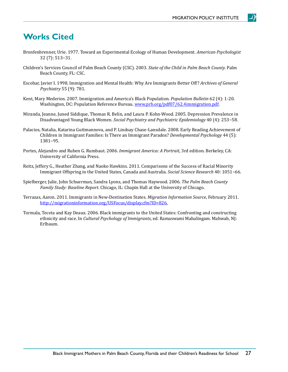### <span id="page-30-0"></span>**Works Cited**

- Bronfenbrenner, Urie. 1977. Toward an Experimental Ecology of Human Development. *American Psychologist* 32 (7): 513−31.
- Children's Services Council of Palm Beach County (CSC). 2003. *State of the Child in Palm Beach County.* Palm Beach County, FL: CSC.
- Escobar, Javier I. 1998. Immigration and Mental Health: Why Are Immigrants Better Off? *Archives of General Psychiatry* 55 (9): 781.
- Kent, Mary Mederios. 2007. Immigration and America's Black Population. *Population Bulletin* 62 (4): 1-20. Washington, DC: Population Reference Bureau. [www.prb.org/pdf07/62.4immigration.pdf](http://www.prb.org/pdf07/62.4immigration.pdf)
- Miranda, Jeanne, Juned Siddique, Thomas R. Belin, and Laura P. Kohn-Wood. 2005. Depression Prevalence in Disadvantaged Young Black Women. *Social Psychiatry and Psychiatric Epidemiology* 40 (4): 253−58.
- Palacios, Natalia, Katarina Guttmannova, and P. Lindsay Chase-Lansdale. 2008. Early Reading Achievement of Children in Immigrant Families: Is There an Immigrant Paradox? *Developmental Psychology* 44 (5): 1381−95.
- Portes, Alejandro and Ruben G. Rumbaut. 2006. *Immigrant America: A Portrait*, 3rd edition. Berkeley, CA: University of California Press.
- Reitz, Jeffery G., Heather Zhang, and Naoko Hawkins. 2011. Comparisons of the Success of Racial Minority Immigrant Offspring in the United States, Canada and Australia. *Social Science Research* 40: 1051−66.
- Spielberger, Julie, John Schuerman, Sandra Lyons, and Thomas Haywood. 2006. *The Palm Beach County Family Study: Baseline Report.* Chicago, IL: Chapin Hall at the University of Chicago.
- Terrazas, Aaron. 2011. Immigrants in New-Destination States. *Migration Information Source*, February 2011. [http://migrationinformation.org/USFocus/display.cfm?ID=826.](http://migrationinformation.org/USFocus/display.cfm%3FID%3D826)
- Tormala, Teceta and Kay Deaux. 2006. Black immigrants to the United States: Confronting and constructing ethnicity and race. In *Cultural Psychology of Immigrants*, ed. Ramaswami Mahalingam. Mahwah, NJ: Erlbaum.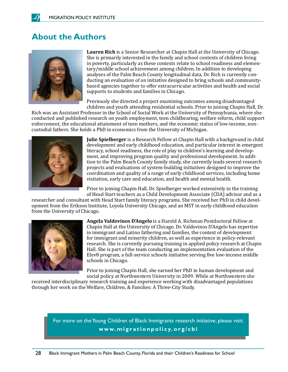### <span id="page-31-0"></span>**About the Authors**



**Lauren Rich** is a Senior Researcher at Chapin Hall at the University of Chicago. She is primarily interested in the family and school contexts of children living in poverty, particularly as these contexts relate to school readiness and elementary/middle school achievement among children. In addition to developing analyses of the Palm Beach County longitudinal data, Dr. Rich is currently conducting an evaluation of an initiative designed to bring schools and communitybased agencies together to offer extracurricular activities and health and social supports to students and families in Chicago.

Previously she directed a project examining outcomes among disadvantaged children and youth attending residential schools. Prior to joining Chapin Hall, Dr.

Rich was an Assistant Professor in the School of Social Work at the University of Pennsylvania, where she conducted and published research on youth employment, teen childbearing, welfare reform, child support enforcement, the educational attainment of teen mothers, and the economic status of low-income, noncustodial fathers. She holds a PhD in economics from the University of Michigan.



**Julie Spielberger** is a Research Fellow at Chapin Hall with a background in child development and early childhood education, and particular interest in emergent literacy, school readiness, the role of play in children's learning and development, and improving program quality and professional development. In addition to the Palm Beach County family study, she currently leads several research projects and evaluations of system-building initiatives designed to improve the coordination and quality of a range of early childhood services, including home visitation, early care and education, and health and mental health.

Prior to joining Chapin Hall, Dr. Spielberger worked extensively in the training of Head Start teachers as a Child Development Associate (CDA) advisor and as a

researcher and consultant with Head Start family literacy programs. She received her PhD in child development from the Erikson Institute, Loyola University Chicago, and an MST in early childhood education from the University of Chicago.



**Angela Valdovinos D'Angelo** is a Harold A. Richman Postdoctoral Fellow at Chapin Hall at the University of Chicago. Dr. Valdovinos D'Angelo has expertise in immigrant and Latino fathering and families, the context of development for immigrant and minority children, as well as experience in policy-relevant research. She is currently pursuing training in applied policy research at Chapin Hall. She is part of the team conducting an implementation evaluation of the Elev8 program, a full-service schools initiative serving five low-income middle schools in Chicago.

Prior to joining Chapin Hall, she earned her PhD in human development and social policy at Northwestern University in 2009. While at Northwestern she

received interdisciplinary research training and experience working with disadvantaged populations through her work on the Welfare, Children, & Families: A Three-City Study.

For more on the Young Children of Black Immigrants research initiative, please visit: **[www.migrationpolicy.org/cbi](http://www.migrationpolicy.org/cbi)**